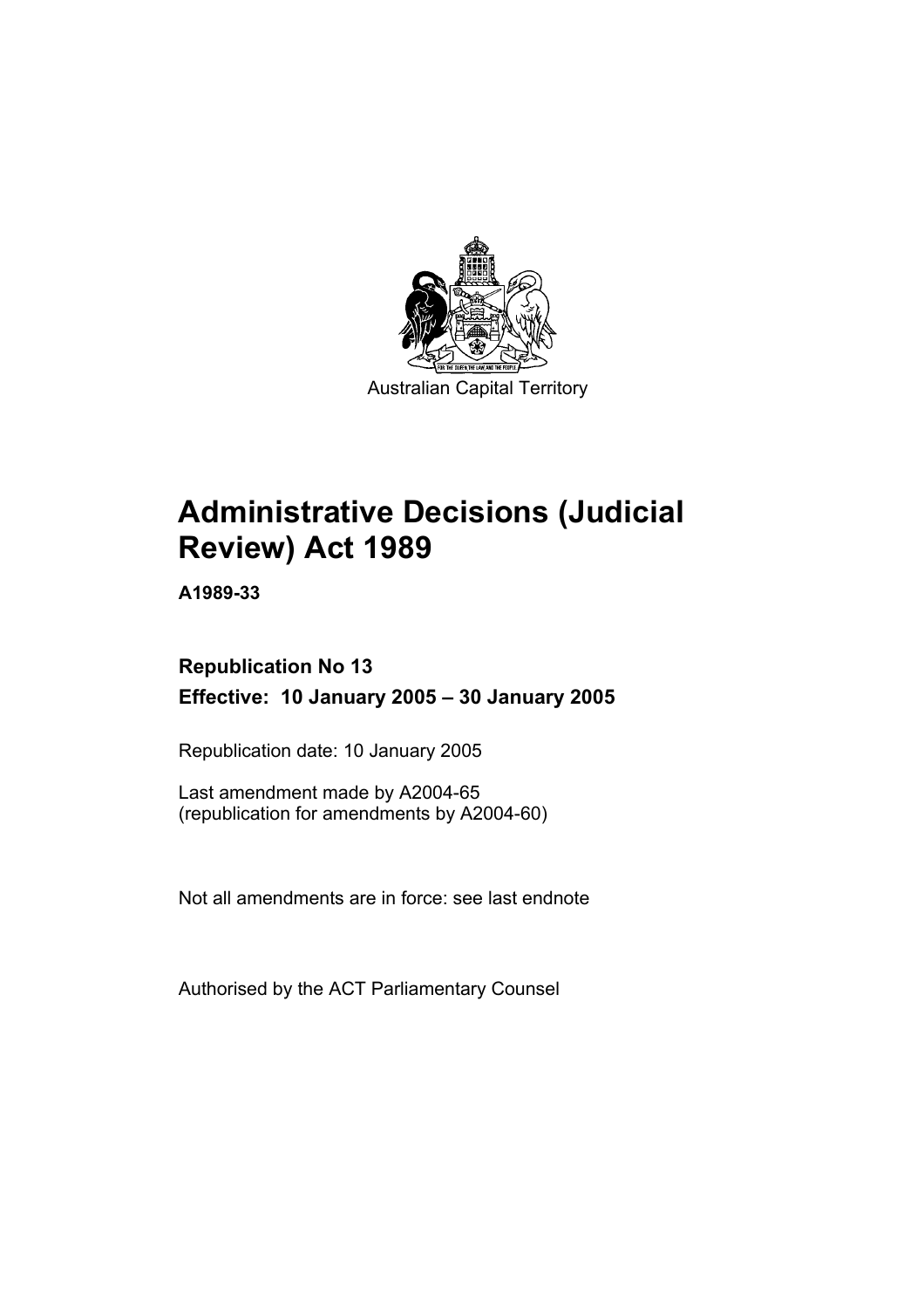

Australian Capital Territory

# **Administrative Decisions (Judicial Review) Act 1989**

**A1989-33** 

## **Republication No 13 Effective: 10 January 2005 – 30 January 2005**

Republication date: 10 January 2005

Last amendment made by A2004-65 (republication for amendments by A2004-60)

Not all amendments are in force: see last endnote

Authorised by the ACT Parliamentary Counsel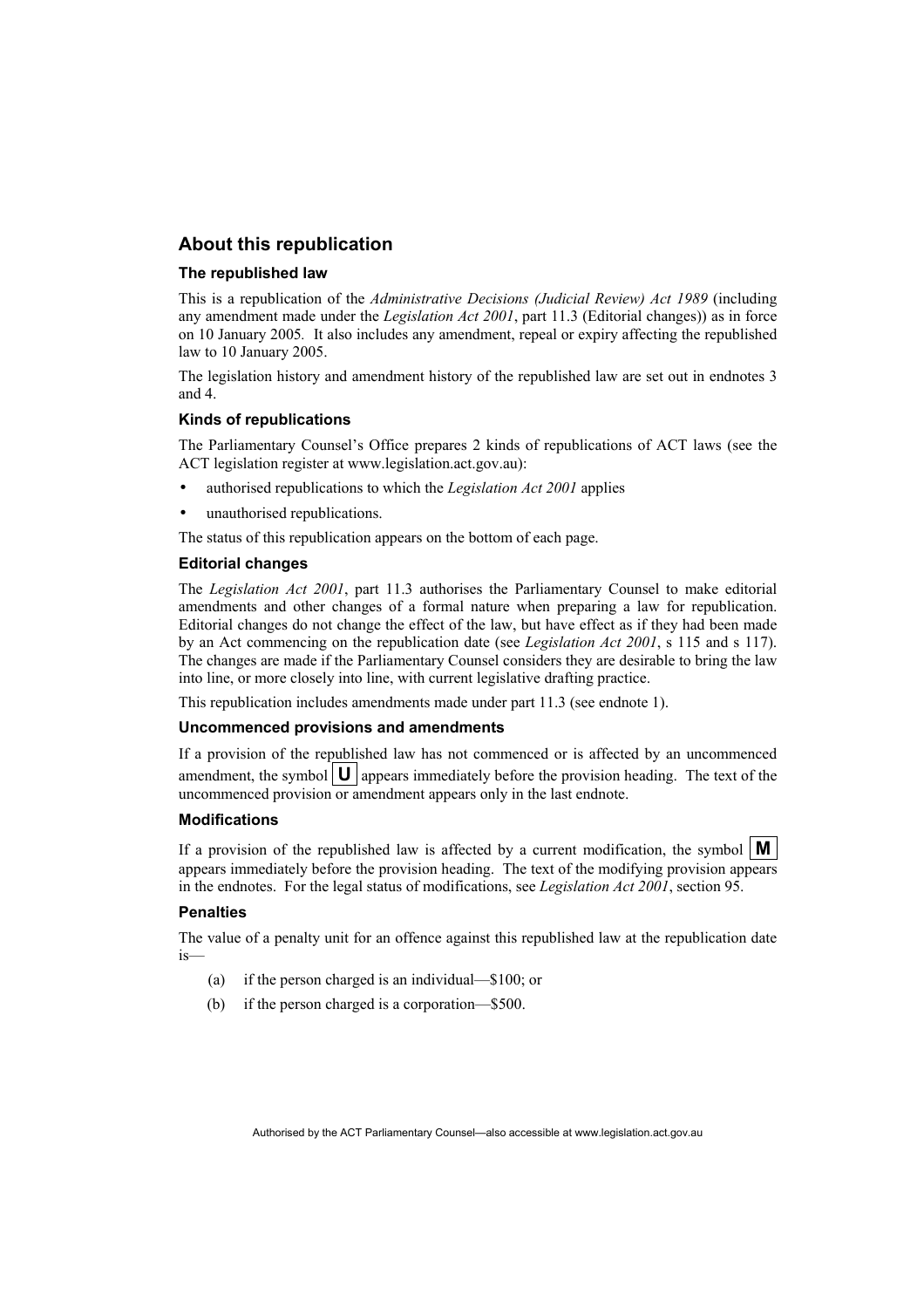### **About this republication**

#### **The republished law**

This is a republication of the *Administrative Decisions (Judicial Review) Act 1989* (including any amendment made under the *Legislation Act 2001*, part 11.3 (Editorial changes)) as in force on 10 January 2005*.* It also includes any amendment, repeal or expiry affecting the republished law to 10 January 2005.

The legislation history and amendment history of the republished law are set out in endnotes 3 and 4.

#### **Kinds of republications**

The Parliamentary Counsel's Office prepares 2 kinds of republications of ACT laws (see the ACT legislation register at www.legislation.act.gov.au):

- authorised republications to which the *Legislation Act 2001* applies
- unauthorised republications.

The status of this republication appears on the bottom of each page.

#### **Editorial changes**

The *Legislation Act 2001*, part 11.3 authorises the Parliamentary Counsel to make editorial amendments and other changes of a formal nature when preparing a law for republication. Editorial changes do not change the effect of the law, but have effect as if they had been made by an Act commencing on the republication date (see *Legislation Act 2001*, s 115 and s 117). The changes are made if the Parliamentary Counsel considers they are desirable to bring the law into line, or more closely into line, with current legislative drafting practice.

This republication includes amendments made under part 11.3 (see endnote 1).

#### **Uncommenced provisions and amendments**

If a provision of the republished law has not commenced or is affected by an uncommenced amendment, the symbol  $\mathbf{U}$  appears immediately before the provision heading. The text of the uncommenced provision or amendment appears only in the last endnote.

#### **Modifications**

If a provision of the republished law is affected by a current modification, the symbol  $\mathbf{M}$ appears immediately before the provision heading. The text of the modifying provision appears in the endnotes. For the legal status of modifications, see *Legislation Act 2001*, section 95.

#### **Penalties**

The value of a penalty unit for an offence against this republished law at the republication date is—

- (a) if the person charged is an individual—\$100; or
- (b) if the person charged is a corporation—\$500.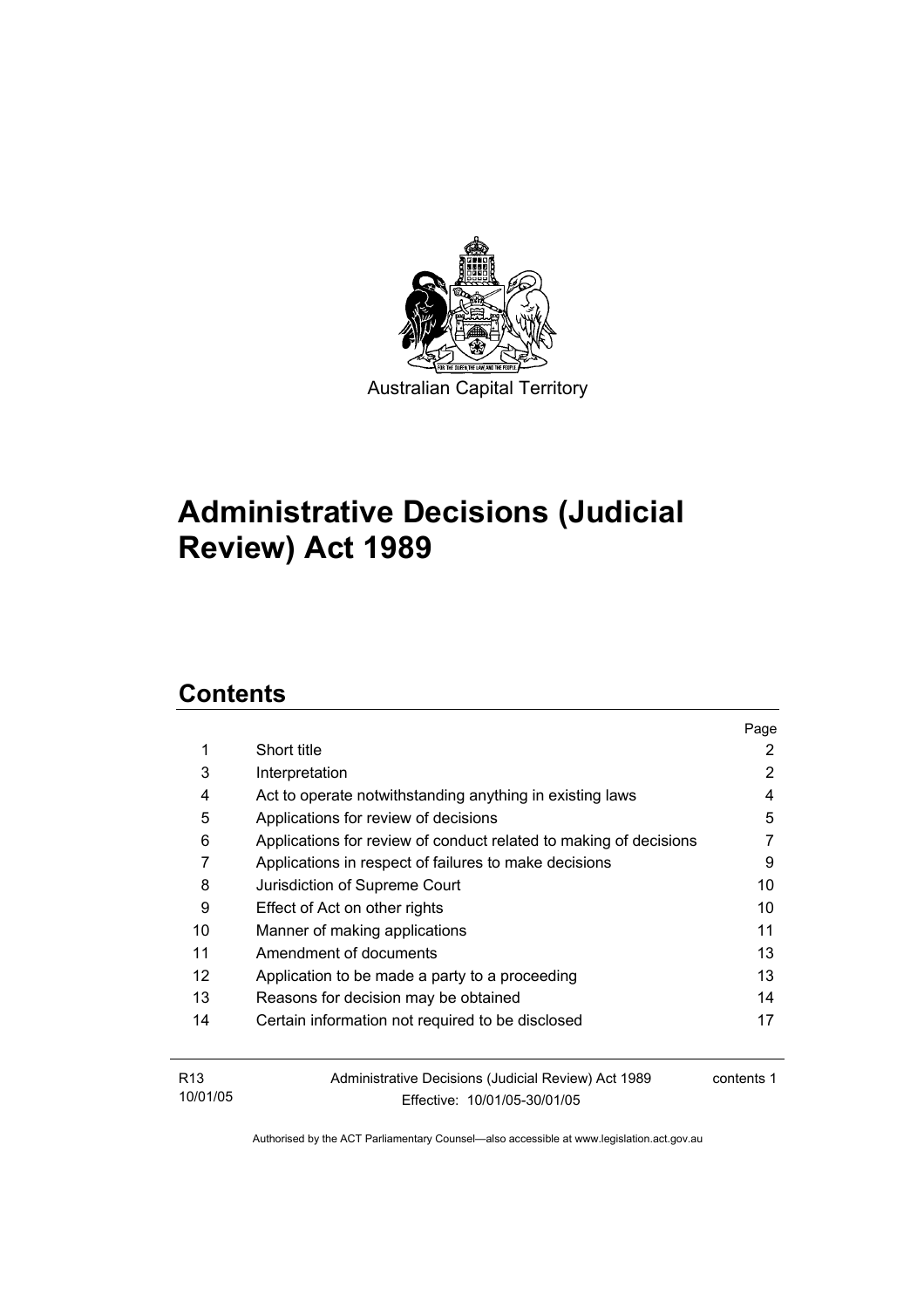

# **Administrative Decisions (Judicial Review) Act 1989**

## **Contents**

|                   |                                                                   | Page       |
|-------------------|-------------------------------------------------------------------|------------|
| 1                 | Short title                                                       | 2          |
| 3                 | Interpretation                                                    | 2          |
| 4                 | Act to operate notwithstanding anything in existing laws          | 4          |
| 5                 | Applications for review of decisions                              | 5          |
| 6                 | Applications for review of conduct related to making of decisions |            |
| 7                 | Applications in respect of failures to make decisions             | 9          |
| 8                 | Jurisdiction of Supreme Court                                     | 10         |
| 9                 | Effect of Act on other rights                                     | 10         |
| 10                | Manner of making applications                                     | 11         |
| 11                | Amendment of documents                                            | 13         |
| $12 \overline{ }$ | Application to be made a party to a proceeding                    | 13         |
| 13                | Reasons for decision may be obtained                              | 14         |
| 14                | Certain information not required to be disclosed                  | 17         |
| R <sub>13</sub>   | Administrative Decisions (Judicial Review) Act 1989               | contents 1 |
| 10/01/05          | Effective: 10/01/05-30/01/05                                      |            |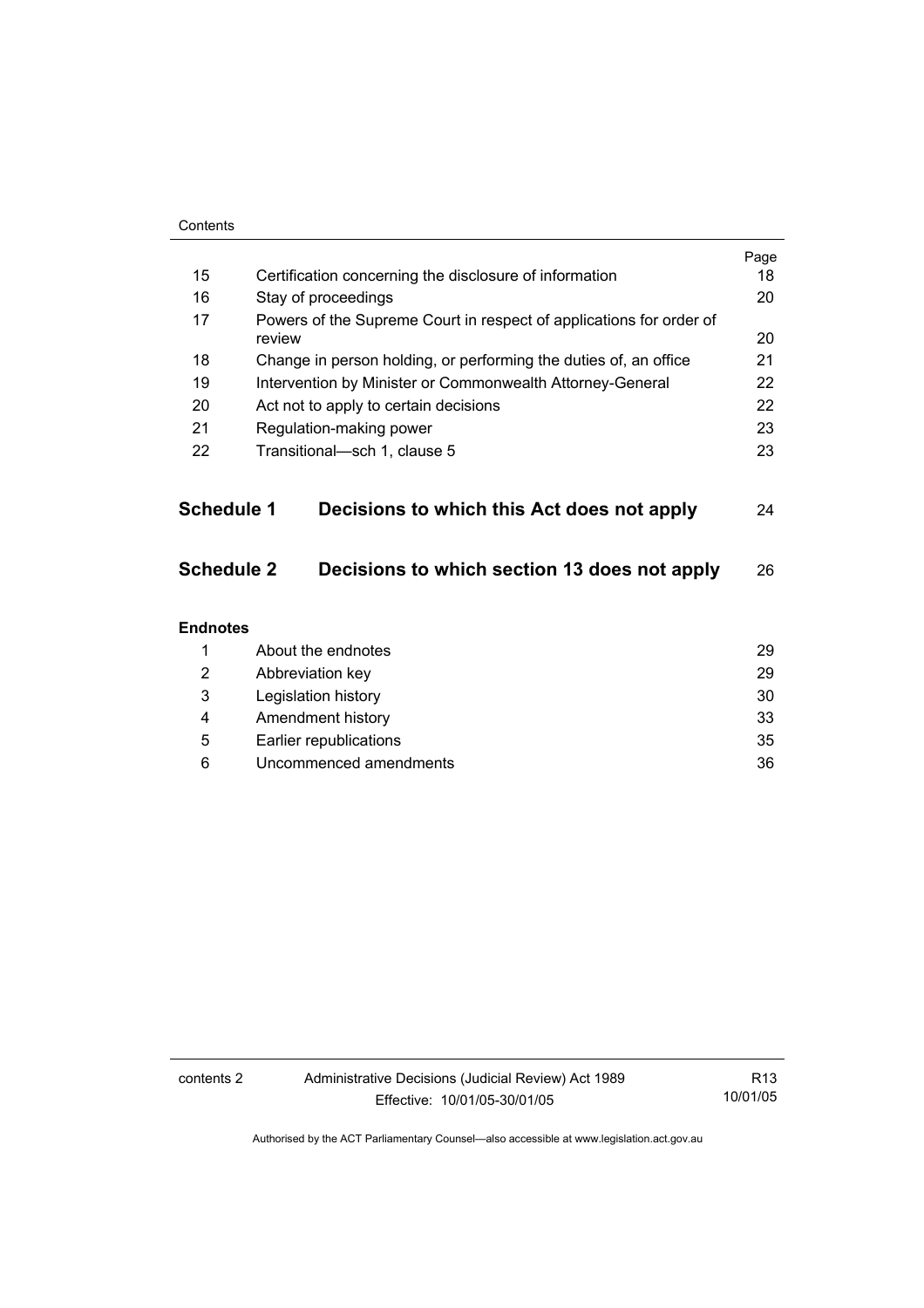| Contents          |                                                                               |      |
|-------------------|-------------------------------------------------------------------------------|------|
|                   |                                                                               | Page |
| 15                | Certification concerning the disclosure of information                        | 18   |
| 16                | Stay of proceedings                                                           | 20   |
| 17                | Powers of the Supreme Court in respect of applications for order of<br>review | 20   |
| 18                | Change in person holding, or performing the duties of, an office              | 21   |
| 19                | Intervention by Minister or Commonwealth Attorney-General                     | 22   |
| 20                | Act not to apply to certain decisions                                         | 22   |
| 21                | Regulation-making power                                                       | 23   |
| 22                | Transitional-sch 1, clause 5                                                  | 23   |
|                   |                                                                               |      |
| <b>Schedule 1</b> | Decisions to which this Act does not apply                                    | 24   |
| Schedule 2        | Decisions to which section 13 does not apply                                  | 26   |
| <b>Endnotes</b>   |                                                                               |      |
| 1                 | About the endnotes                                                            | 29   |
| 2                 | Abbreviation key                                                              | 29   |
| 3                 | Legislation history                                                           | 30   |
| 4                 | Amendment history                                                             | 33   |

 5 Earlier republications 35 6 Uncommenced amendments 36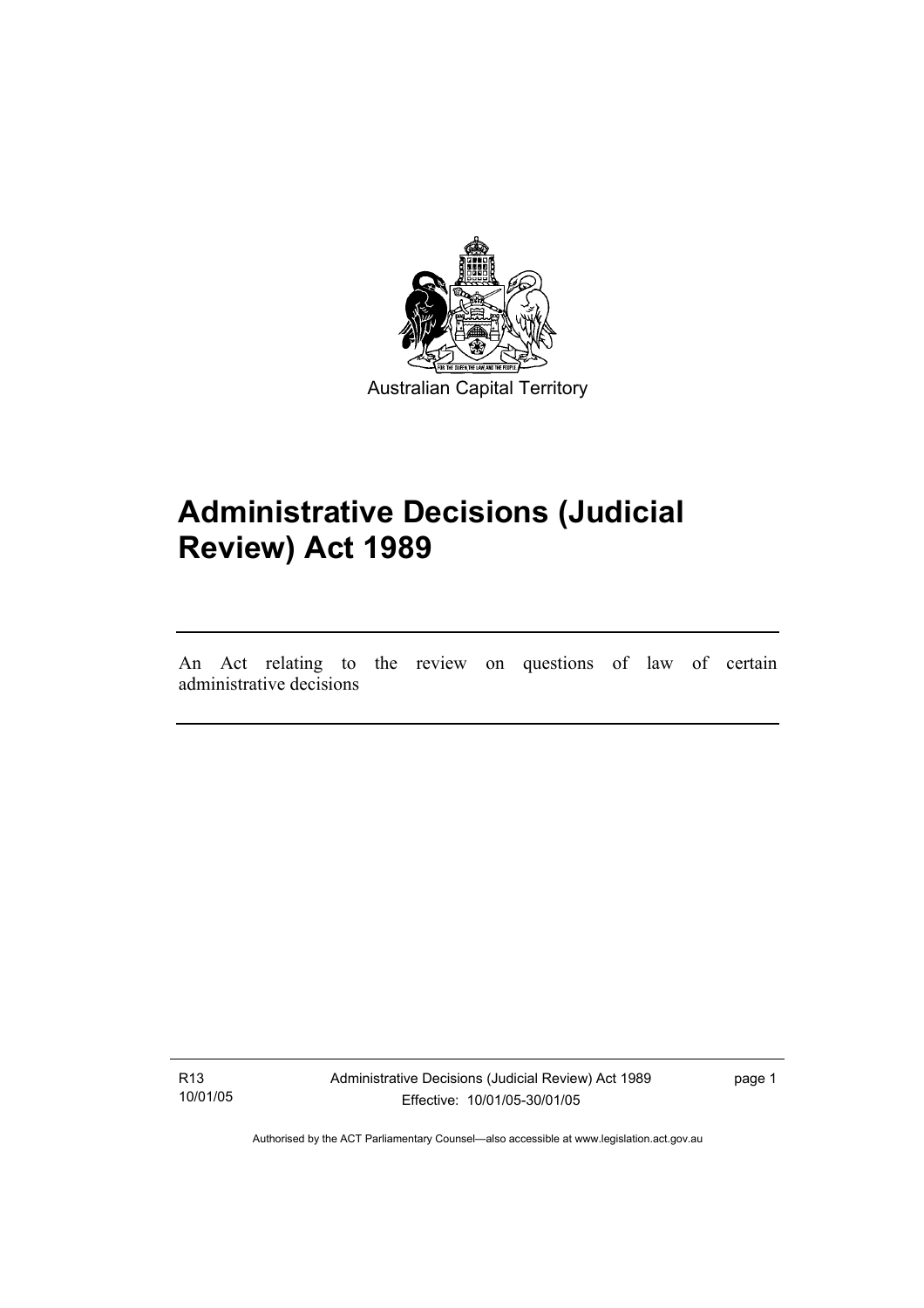

# **Administrative Decisions (Judicial Review) Act 1989**

An Act relating to the review on questions of law of certain administrative decisions

R13 10/01/05

I

Administrative Decisions (Judicial Review) Act 1989 Effective: 10/01/05-30/01/05

page 1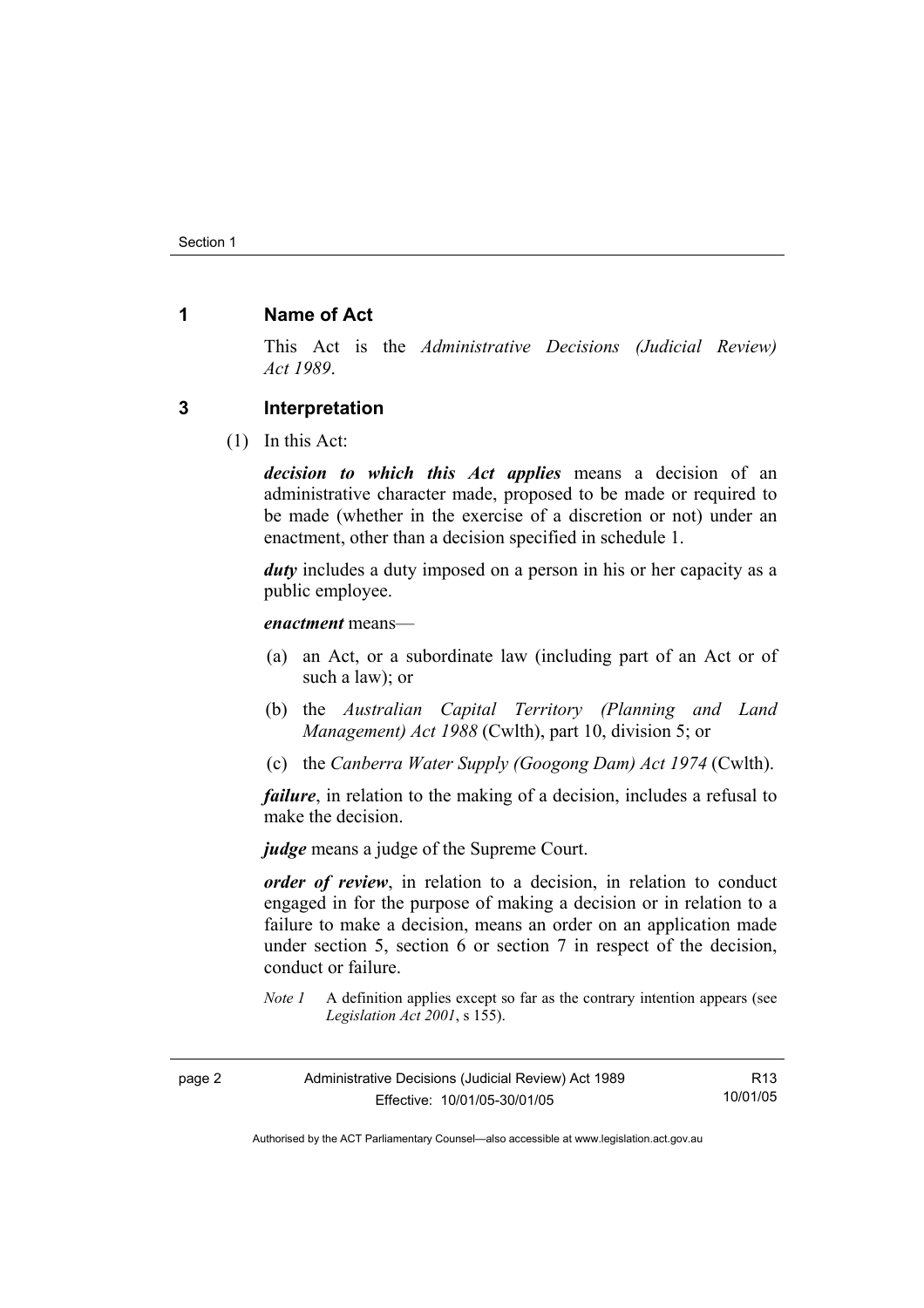### **1 Name of Act**

This Act is the *Administrative Decisions (Judicial Review) Act 1989*.

#### **3 Interpretation**

(1) In this Act:

*decision to which this Act applies* means a decision of an administrative character made, proposed to be made or required to be made (whether in the exercise of a discretion or not) under an enactment, other than a decision specified in schedule 1.

*duty* includes a duty imposed on a person in his or her capacity as a public employee.

*enactment* means—

- (a) an Act, or a subordinate law (including part of an Act or of such a law); or
- (b) the *Australian Capital Territory (Planning and Land Management) Act 1988* (Cwlth), part 10, division 5; or
- (c) the *Canberra Water Supply (Googong Dam) Act 1974* (Cwlth).

*failure*, in relation to the making of a decision, includes a refusal to make the decision.

*judge* means a judge of the Supreme Court.

*order of review*, in relation to a decision, in relation to conduct engaged in for the purpose of making a decision or in relation to a failure to make a decision, means an order on an application made under section 5, section 6 or section 7 in respect of the decision, conduct or failure.

*Note 1* A definition applies except so far as the contrary intention appears (see *Legislation Act 2001*, s 155).

| page 2 | Administrative Decisions (Judicial Review) Act 1989 | R <sub>13</sub> |
|--------|-----------------------------------------------------|-----------------|
|        | Effective: 10/01/05-30/01/05                        | 10/01/05        |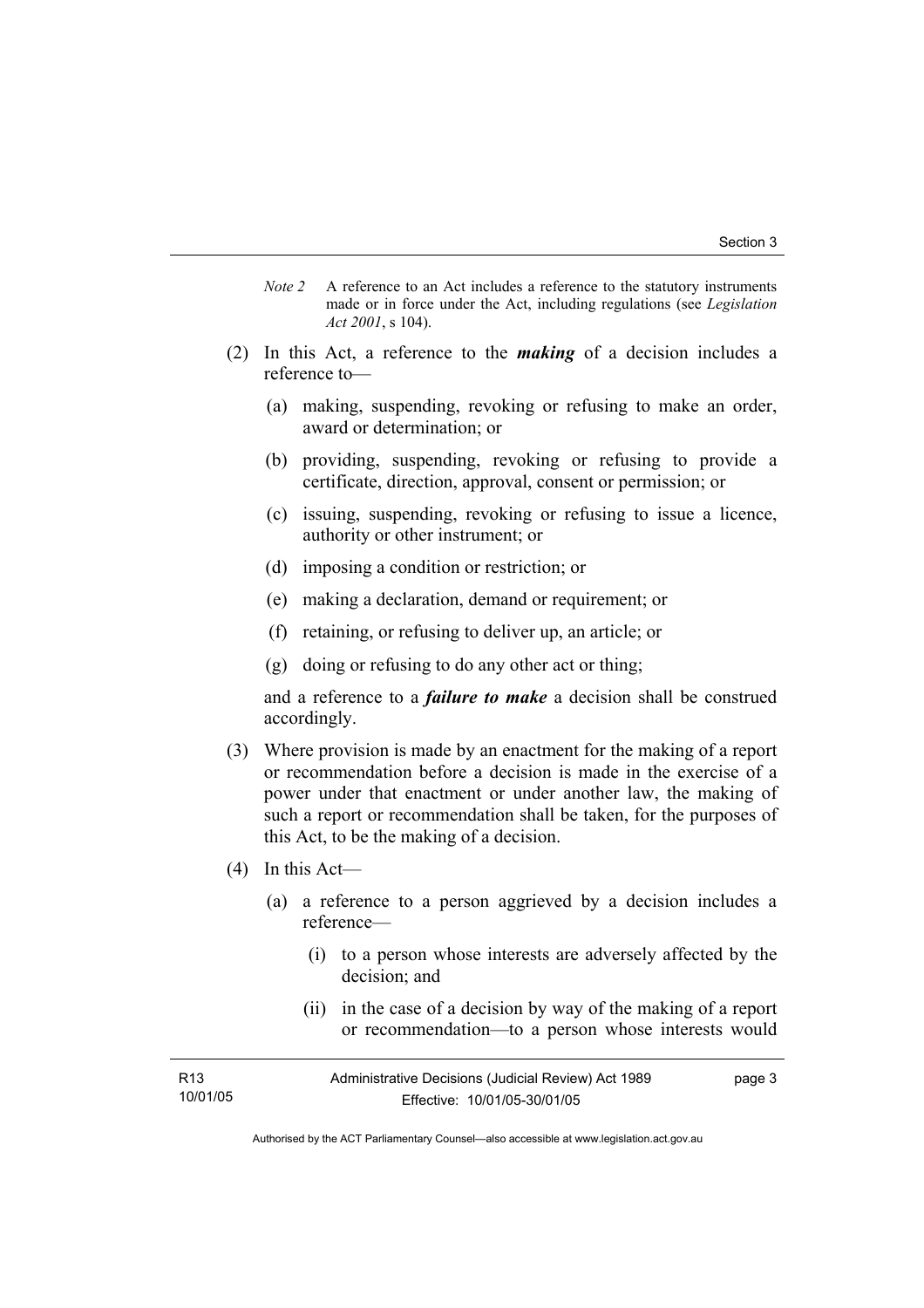- *Note 2* A reference to an Act includes a reference to the statutory instruments made or in force under the Act, including regulations (see *Legislation Act 2001*, s 104).
- (2) In this Act, a reference to the *making* of a decision includes a reference to—
	- (a) making, suspending, revoking or refusing to make an order, award or determination; or
	- (b) providing, suspending, revoking or refusing to provide a certificate, direction, approval, consent or permission; or
	- (c) issuing, suspending, revoking or refusing to issue a licence, authority or other instrument; or
	- (d) imposing a condition or restriction; or
	- (e) making a declaration, demand or requirement; or
	- (f) retaining, or refusing to deliver up, an article; or
	- (g) doing or refusing to do any other act or thing;

and a reference to a *failure to make* a decision shall be construed accordingly.

- (3) Where provision is made by an enactment for the making of a report or recommendation before a decision is made in the exercise of a power under that enactment or under another law, the making of such a report or recommendation shall be taken, for the purposes of this Act, to be the making of a decision.
- (4) In this Act—
	- (a) a reference to a person aggrieved by a decision includes a reference—
		- (i) to a person whose interests are adversely affected by the decision; and
		- (ii) in the case of a decision by way of the making of a report or recommendation—to a person whose interests would

| R <sub>13</sub> | Administrative Decisions (Judicial Review) Act 1989 | page 3 |
|-----------------|-----------------------------------------------------|--------|
| 10/01/05        | Effective: 10/01/05-30/01/05                        |        |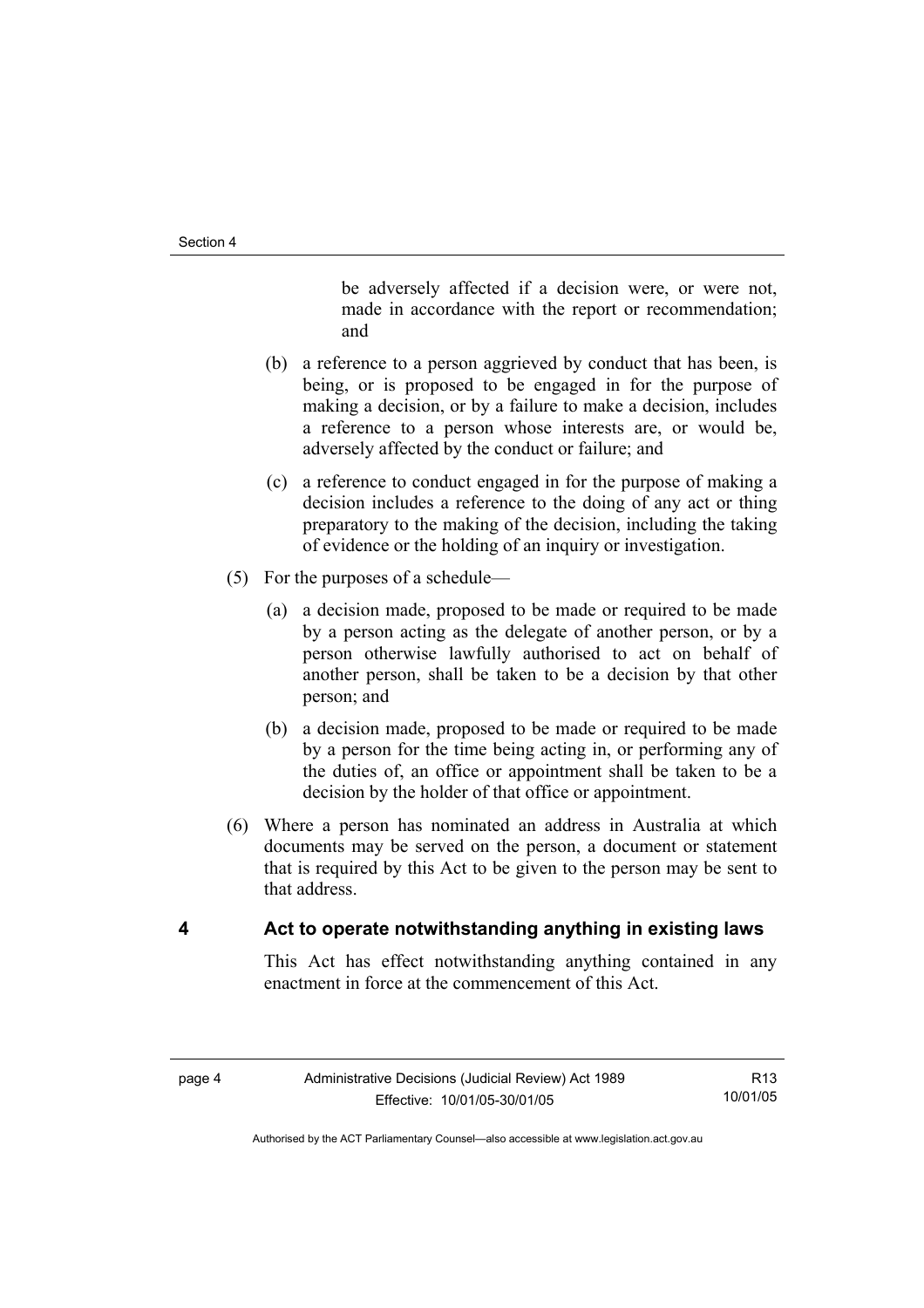be adversely affected if a decision were, or were not, made in accordance with the report or recommendation; and

- (b) a reference to a person aggrieved by conduct that has been, is being, or is proposed to be engaged in for the purpose of making a decision, or by a failure to make a decision, includes a reference to a person whose interests are, or would be, adversely affected by the conduct or failure; and
- (c) a reference to conduct engaged in for the purpose of making a decision includes a reference to the doing of any act or thing preparatory to the making of the decision, including the taking of evidence or the holding of an inquiry or investigation.
- (5) For the purposes of a schedule—
	- (a) a decision made, proposed to be made or required to be made by a person acting as the delegate of another person, or by a person otherwise lawfully authorised to act on behalf of another person, shall be taken to be a decision by that other person; and
	- (b) a decision made, proposed to be made or required to be made by a person for the time being acting in, or performing any of the duties of, an office or appointment shall be taken to be a decision by the holder of that office or appointment.
- (6) Where a person has nominated an address in Australia at which documents may be served on the person, a document or statement that is required by this Act to be given to the person may be sent to that address.

### **4 Act to operate notwithstanding anything in existing laws**

This Act has effect notwithstanding anything contained in any enactment in force at the commencement of this Act.

R13 10/01/05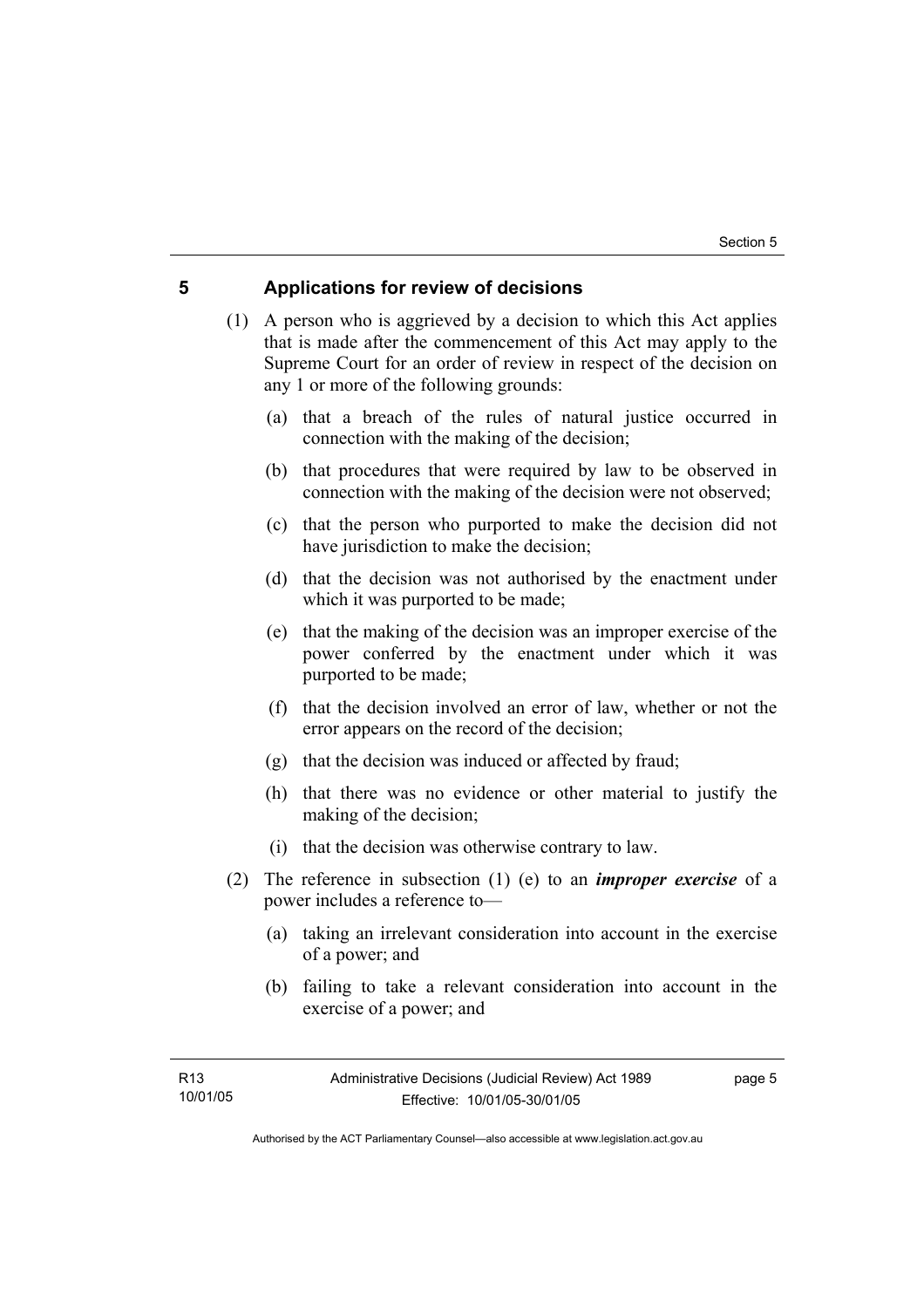### **5 Applications for review of decisions**

 (1) A person who is aggrieved by a decision to which this Act applies that is made after the commencement of this Act may apply to the Supreme Court for an order of review in respect of the decision on any 1 or more of the following grounds:

- (a) that a breach of the rules of natural justice occurred in connection with the making of the decision;
- (b) that procedures that were required by law to be observed in connection with the making of the decision were not observed;
- (c) that the person who purported to make the decision did not have jurisdiction to make the decision;
- (d) that the decision was not authorised by the enactment under which it was purported to be made;
- (e) that the making of the decision was an improper exercise of the power conferred by the enactment under which it was purported to be made;
- (f) that the decision involved an error of law, whether or not the error appears on the record of the decision;
- (g) that the decision was induced or affected by fraud;
- (h) that there was no evidence or other material to justify the making of the decision;
- (i) that the decision was otherwise contrary to law.
- (2) The reference in subsection (1) (e) to an *improper exercise* of a power includes a reference to—
	- (a) taking an irrelevant consideration into account in the exercise of a power; and
	- (b) failing to take a relevant consideration into account in the exercise of a power; and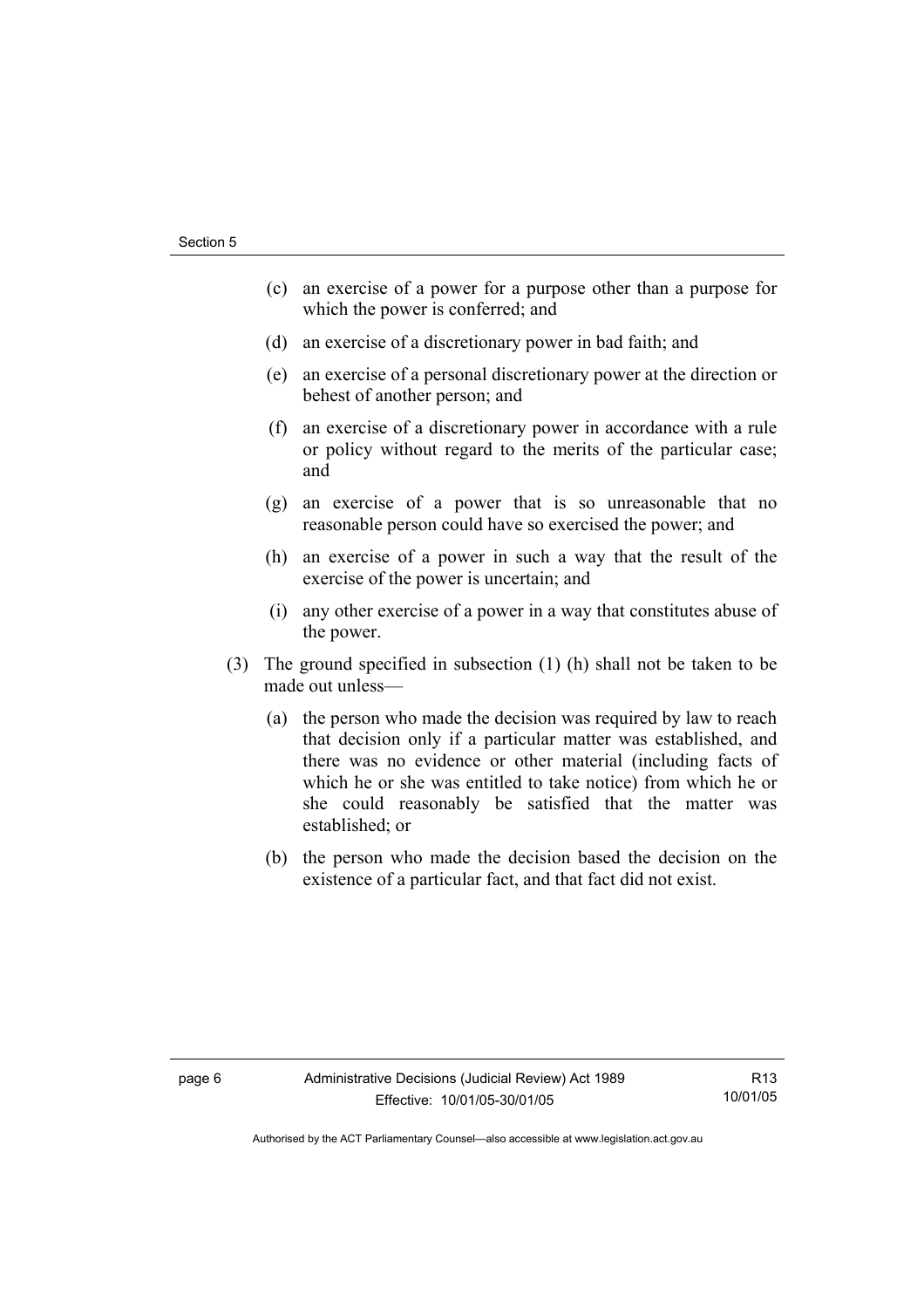- (c) an exercise of a power for a purpose other than a purpose for which the power is conferred; and
- (d) an exercise of a discretionary power in bad faith; and
- (e) an exercise of a personal discretionary power at the direction or behest of another person; and
- (f) an exercise of a discretionary power in accordance with a rule or policy without regard to the merits of the particular case; and
- (g) an exercise of a power that is so unreasonable that no reasonable person could have so exercised the power; and
- (h) an exercise of a power in such a way that the result of the exercise of the power is uncertain; and
- (i) any other exercise of a power in a way that constitutes abuse of the power.
- (3) The ground specified in subsection (1) (h) shall not be taken to be made out unless—
	- (a) the person who made the decision was required by law to reach that decision only if a particular matter was established, and there was no evidence or other material (including facts of which he or she was entitled to take notice) from which he or she could reasonably be satisfied that the matter was established; or
	- (b) the person who made the decision based the decision on the existence of a particular fact, and that fact did not exist.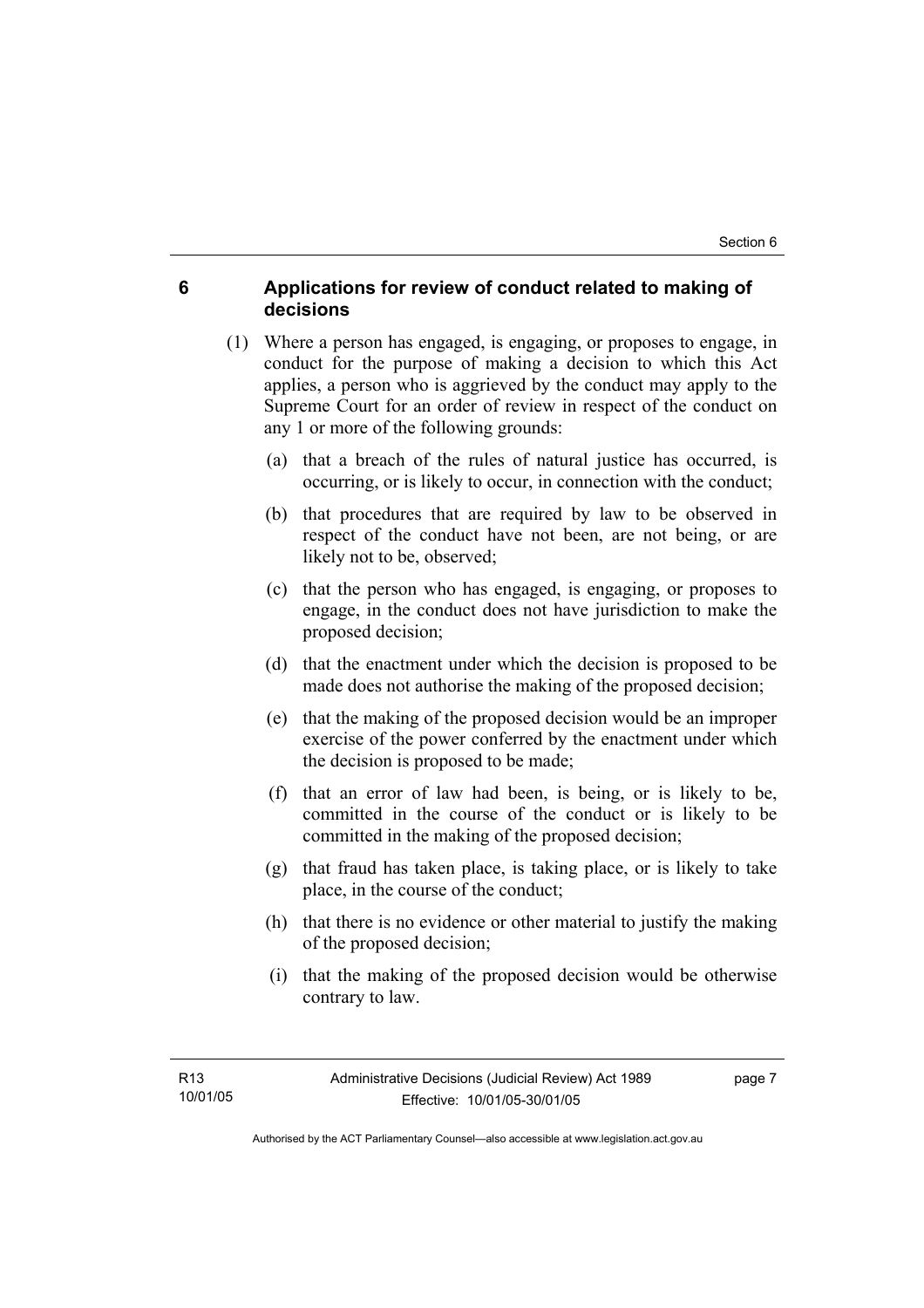### **6 Applications for review of conduct related to making of decisions**

- (1) Where a person has engaged, is engaging, or proposes to engage, in conduct for the purpose of making a decision to which this Act applies, a person who is aggrieved by the conduct may apply to the Supreme Court for an order of review in respect of the conduct on any 1 or more of the following grounds:
	- (a) that a breach of the rules of natural justice has occurred, is occurring, or is likely to occur, in connection with the conduct;
	- (b) that procedures that are required by law to be observed in respect of the conduct have not been, are not being, or are likely not to be, observed;
	- (c) that the person who has engaged, is engaging, or proposes to engage, in the conduct does not have jurisdiction to make the proposed decision;
	- (d) that the enactment under which the decision is proposed to be made does not authorise the making of the proposed decision;
	- (e) that the making of the proposed decision would be an improper exercise of the power conferred by the enactment under which the decision is proposed to be made;
	- (f) that an error of law had been, is being, or is likely to be, committed in the course of the conduct or is likely to be committed in the making of the proposed decision;
	- (g) that fraud has taken place, is taking place, or is likely to take place, in the course of the conduct;
	- (h) that there is no evidence or other material to justify the making of the proposed decision;
	- (i) that the making of the proposed decision would be otherwise contrary to law.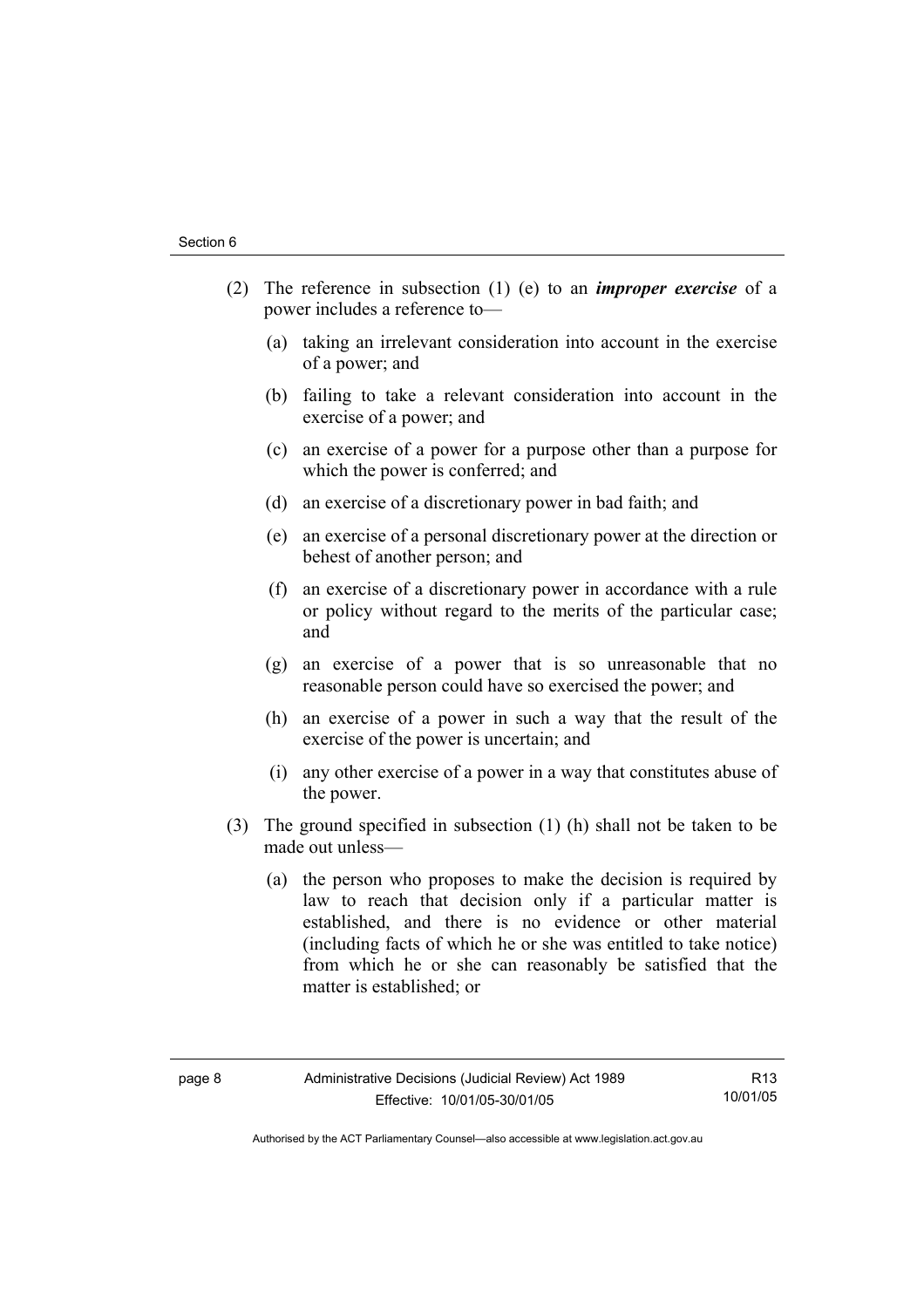- (2) The reference in subsection (1) (e) to an *improper exercise* of a power includes a reference to—
	- (a) taking an irrelevant consideration into account in the exercise of a power; and
	- (b) failing to take a relevant consideration into account in the exercise of a power; and
	- (c) an exercise of a power for a purpose other than a purpose for which the power is conferred; and
	- (d) an exercise of a discretionary power in bad faith; and
	- (e) an exercise of a personal discretionary power at the direction or behest of another person; and
	- (f) an exercise of a discretionary power in accordance with a rule or policy without regard to the merits of the particular case; and
	- (g) an exercise of a power that is so unreasonable that no reasonable person could have so exercised the power; and
	- (h) an exercise of a power in such a way that the result of the exercise of the power is uncertain; and
	- (i) any other exercise of a power in a way that constitutes abuse of the power.
- (3) The ground specified in subsection (1) (h) shall not be taken to be made out unless—
	- (a) the person who proposes to make the decision is required by law to reach that decision only if a particular matter is established, and there is no evidence or other material (including facts of which he or she was entitled to take notice) from which he or she can reasonably be satisfied that the matter is established; or

R13 10/01/05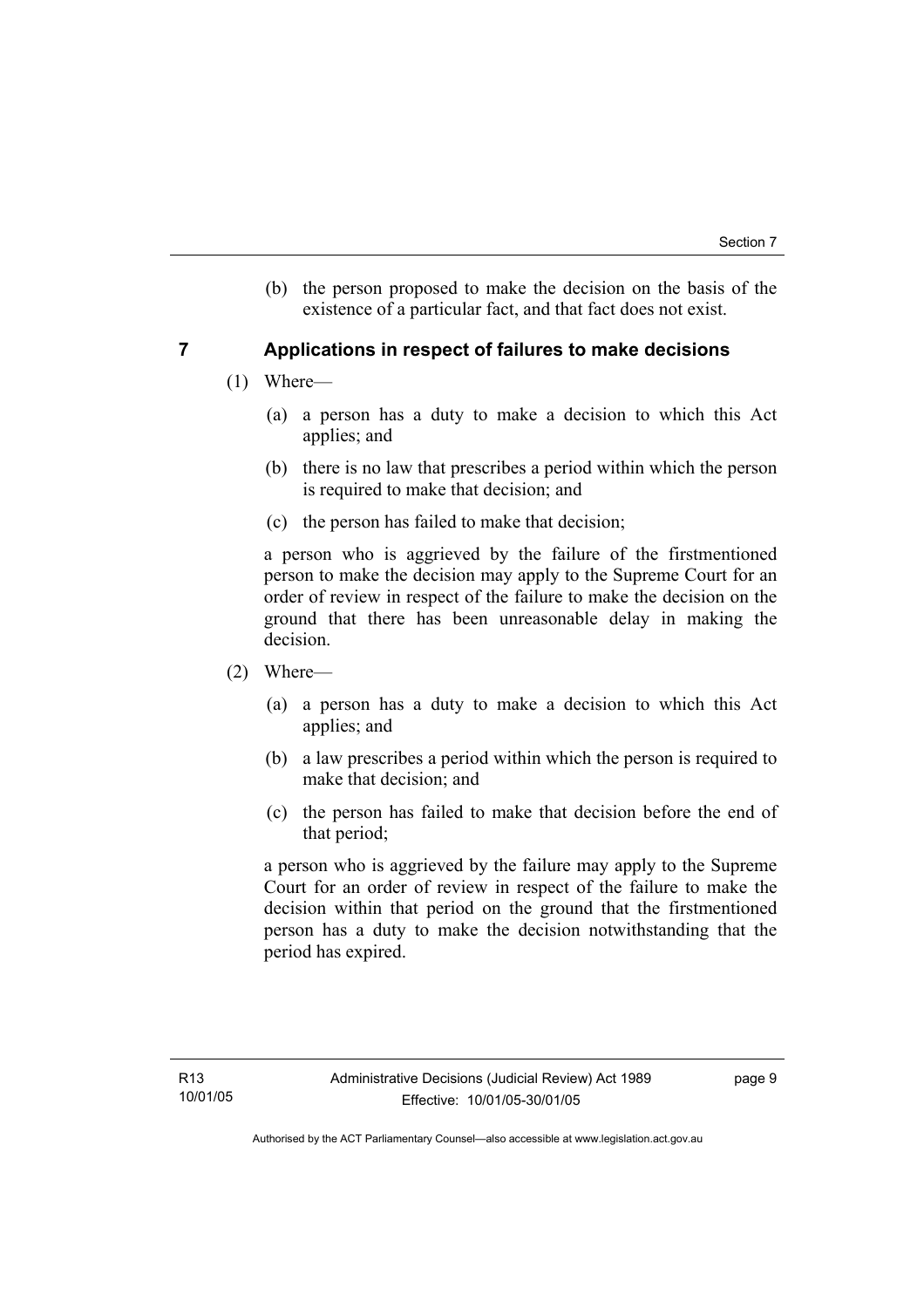(b) the person proposed to make the decision on the basis of the existence of a particular fact, and that fact does not exist.

### **7 Applications in respect of failures to make decisions**

- (1) Where—
	- (a) a person has a duty to make a decision to which this Act applies; and
	- (b) there is no law that prescribes a period within which the person is required to make that decision; and
	- (c) the person has failed to make that decision;

a person who is aggrieved by the failure of the firstmentioned person to make the decision may apply to the Supreme Court for an order of review in respect of the failure to make the decision on the ground that there has been unreasonable delay in making the decision.

- (2) Where—
	- (a) a person has a duty to make a decision to which this Act applies; and
	- (b) a law prescribes a period within which the person is required to make that decision; and
	- (c) the person has failed to make that decision before the end of that period;

a person who is aggrieved by the failure may apply to the Supreme Court for an order of review in respect of the failure to make the decision within that period on the ground that the firstmentioned person has a duty to make the decision notwithstanding that the period has expired.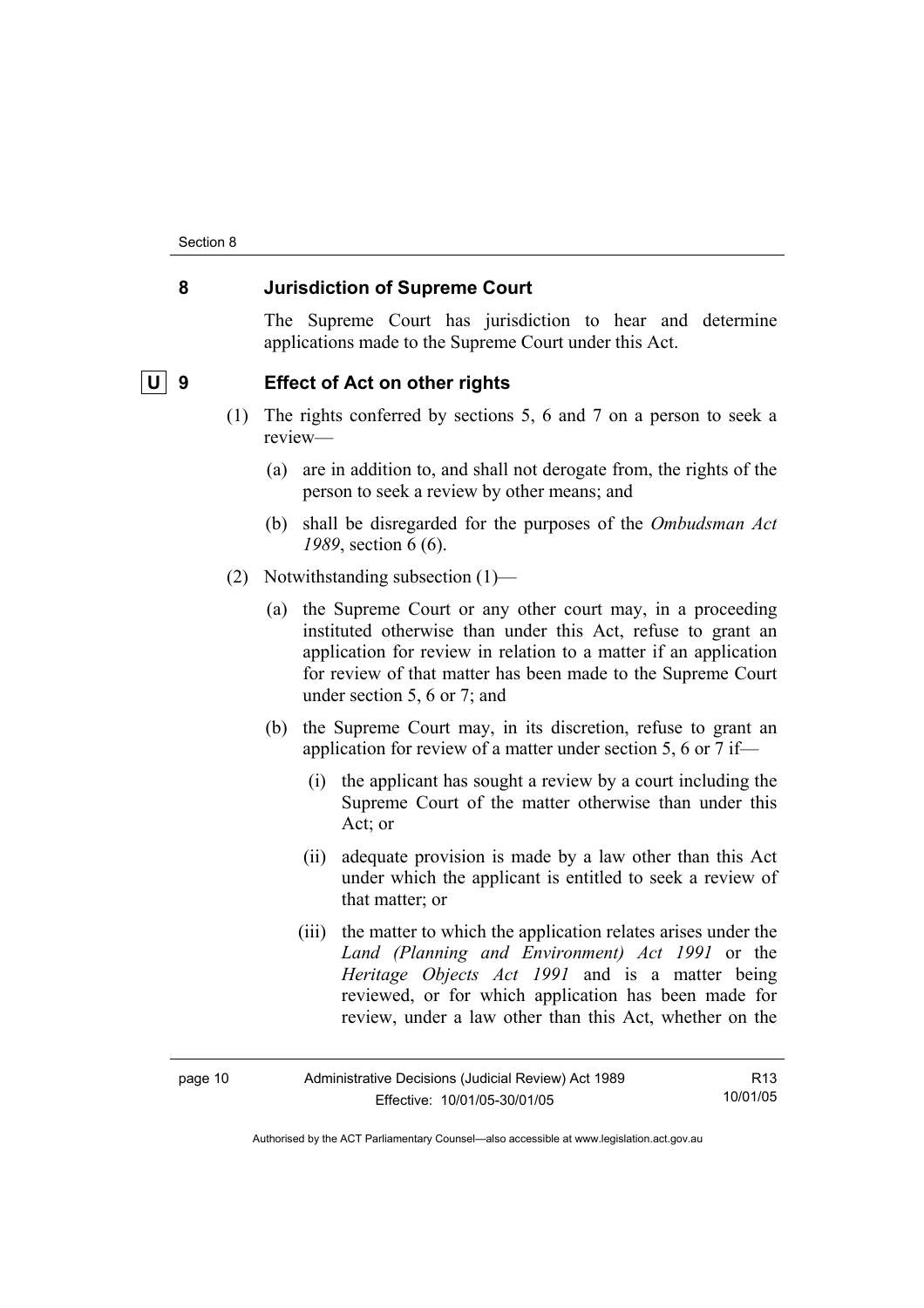### **8 Jurisdiction of Supreme Court**

The Supreme Court has jurisdiction to hear and determine applications made to the Supreme Court under this Act.

### **U** 9 Effect of Act on other rights

- (1) The rights conferred by sections 5, 6 and 7 on a person to seek a review—
	- (a) are in addition to, and shall not derogate from, the rights of the person to seek a review by other means; and
	- (b) shall be disregarded for the purposes of the *Ombudsman Act 1989*, section 6 (6).
- (2) Notwithstanding subsection (1)—
	- (a) the Supreme Court or any other court may, in a proceeding instituted otherwise than under this Act, refuse to grant an application for review in relation to a matter if an application for review of that matter has been made to the Supreme Court under section 5, 6 or 7; and
	- (b) the Supreme Court may, in its discretion, refuse to grant an application for review of a matter under section 5, 6 or 7 if—
		- (i) the applicant has sought a review by a court including the Supreme Court of the matter otherwise than under this Act; or
		- (ii) adequate provision is made by a law other than this Act under which the applicant is entitled to seek a review of that matter; or
		- (iii) the matter to which the application relates arises under the *Land (Planning and Environment) Act 1991* or the *Heritage Objects Act 1991* and is a matter being reviewed, or for which application has been made for review, under a law other than this Act, whether on the

| page 10 | Administrative Decisions (Judicial Review) Act 1989 | R <sub>13</sub> |
|---------|-----------------------------------------------------|-----------------|
|         | Effective: 10/01/05-30/01/05                        | 10/01/05        |

Authorised by the ACT Parliamentary Counsel—also accessible at www.legislation.act.gov.au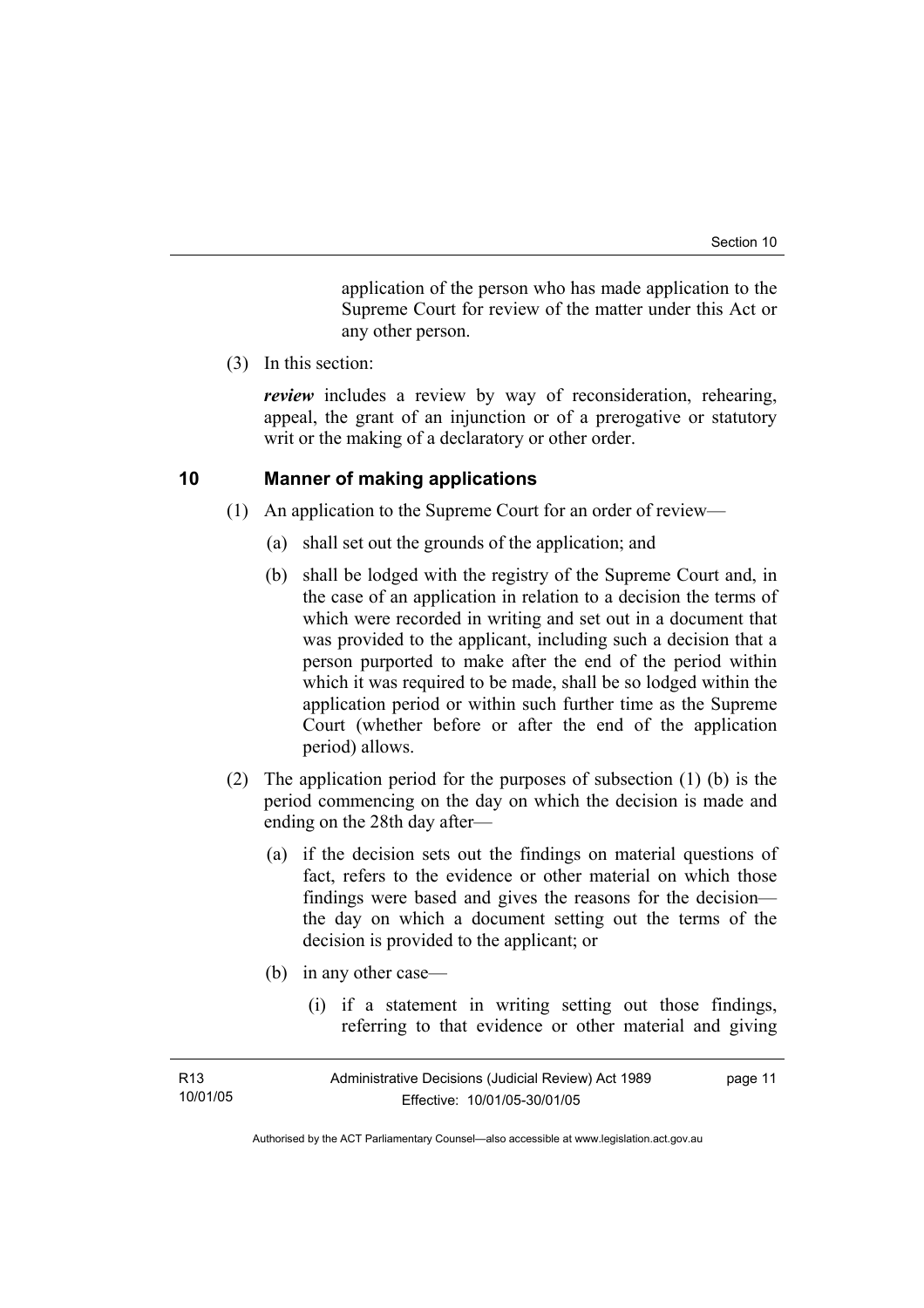application of the person who has made application to the Supreme Court for review of the matter under this Act or any other person.

(3) In this section:

*review* includes a review by way of reconsideration, rehearing, appeal, the grant of an injunction or of a prerogative or statutory writ or the making of a declaratory or other order.

### **10 Manner of making applications**

- (1) An application to the Supreme Court for an order of review—
	- (a) shall set out the grounds of the application; and
	- (b) shall be lodged with the registry of the Supreme Court and, in the case of an application in relation to a decision the terms of which were recorded in writing and set out in a document that was provided to the applicant, including such a decision that a person purported to make after the end of the period within which it was required to be made, shall be so lodged within the application period or within such further time as the Supreme Court (whether before or after the end of the application period) allows.
- (2) The application period for the purposes of subsection (1) (b) is the period commencing on the day on which the decision is made and ending on the 28th day after—
	- (a) if the decision sets out the findings on material questions of fact, refers to the evidence or other material on which those findings were based and gives the reasons for the decision the day on which a document setting out the terms of the decision is provided to the applicant; or
	- (b) in any other case—
		- (i) if a statement in writing setting out those findings, referring to that evidence or other material and giving

| R <sub>13</sub> | Administrative Decisions (Judicial Review) Act 1989 | page 11 |
|-----------------|-----------------------------------------------------|---------|
| 10/01/05        | Effective: 10/01/05-30/01/05                        |         |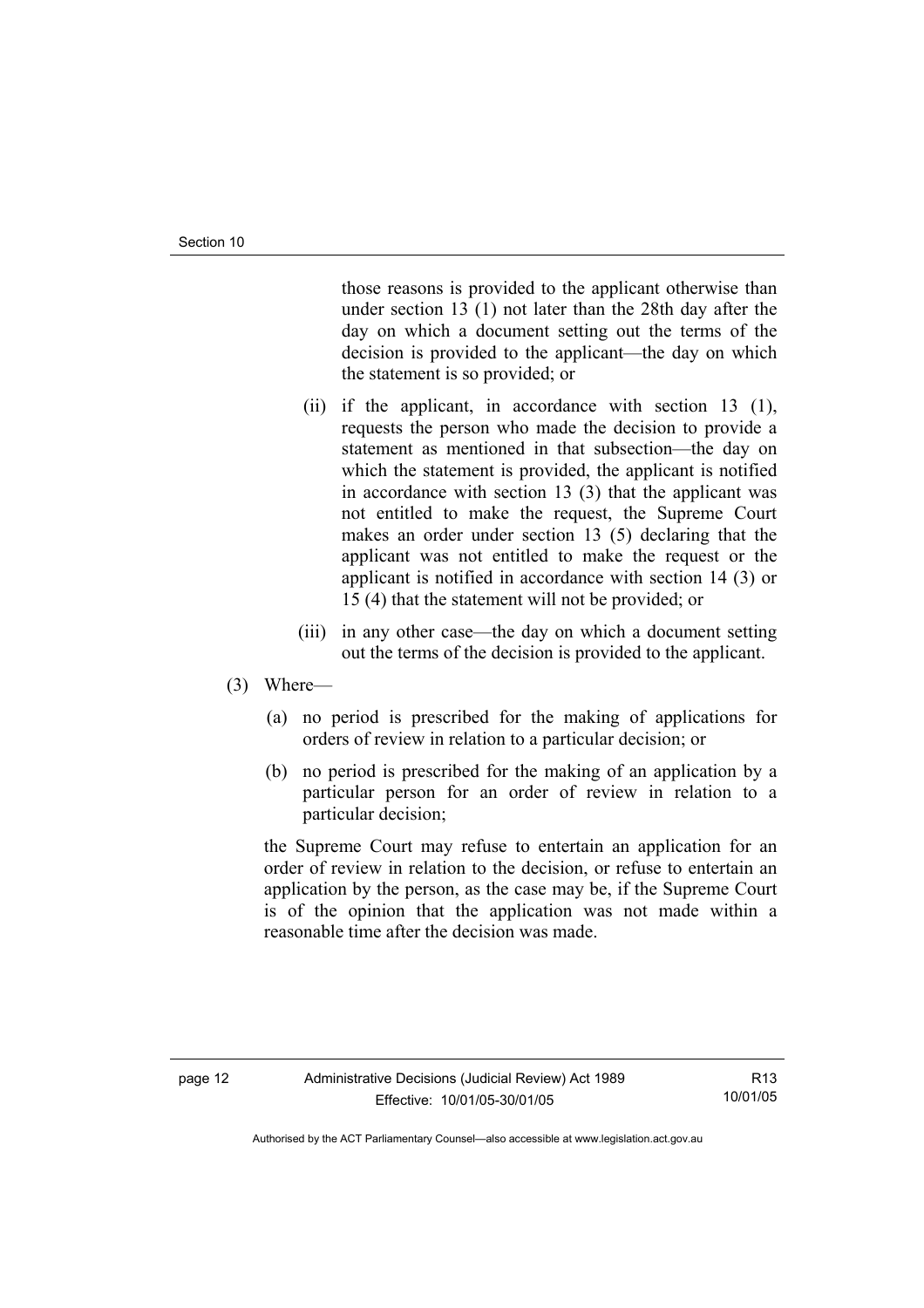those reasons is provided to the applicant otherwise than under section 13 (1) not later than the 28th day after the day on which a document setting out the terms of the decision is provided to the applicant—the day on which the statement is so provided; or

- (ii) if the applicant, in accordance with section 13 (1), requests the person who made the decision to provide a statement as mentioned in that subsection—the day on which the statement is provided, the applicant is notified in accordance with section 13 (3) that the applicant was not entitled to make the request, the Supreme Court makes an order under section 13 (5) declaring that the applicant was not entitled to make the request or the applicant is notified in accordance with section 14 (3) or 15 (4) that the statement will not be provided; or
- (iii) in any other case—the day on which a document setting out the terms of the decision is provided to the applicant.

#### (3) Where—

- (a) no period is prescribed for the making of applications for orders of review in relation to a particular decision; or
- (b) no period is prescribed for the making of an application by a particular person for an order of review in relation to a particular decision;

the Supreme Court may refuse to entertain an application for an order of review in relation to the decision, or refuse to entertain an application by the person, as the case may be, if the Supreme Court is of the opinion that the application was not made within a reasonable time after the decision was made.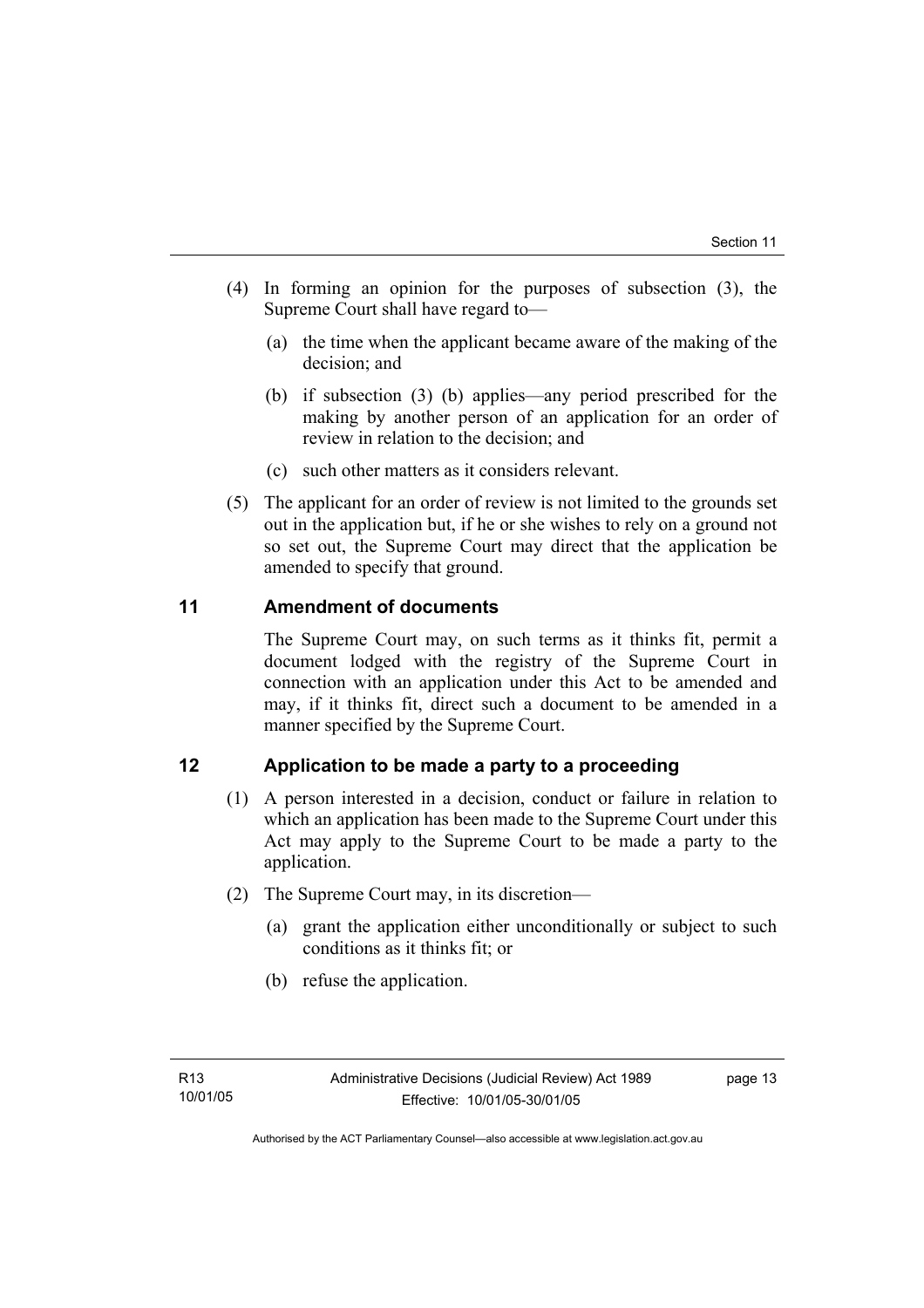- (4) In forming an opinion for the purposes of subsection (3), the Supreme Court shall have regard to—
	- (a) the time when the applicant became aware of the making of the decision; and
	- (b) if subsection (3) (b) applies—any period prescribed for the making by another person of an application for an order of review in relation to the decision; and
	- (c) such other matters as it considers relevant.
- (5) The applicant for an order of review is not limited to the grounds set out in the application but, if he or she wishes to rely on a ground not so set out, the Supreme Court may direct that the application be amended to specify that ground.

### **11 Amendment of documents**

The Supreme Court may, on such terms as it thinks fit, permit a document lodged with the registry of the Supreme Court in connection with an application under this Act to be amended and may, if it thinks fit, direct such a document to be amended in a manner specified by the Supreme Court.

### **12 Application to be made a party to a proceeding**

- (1) A person interested in a decision, conduct or failure in relation to which an application has been made to the Supreme Court under this Act may apply to the Supreme Court to be made a party to the application.
- (2) The Supreme Court may, in its discretion—
	- (a) grant the application either unconditionally or subject to such conditions as it thinks fit; or
	- (b) refuse the application.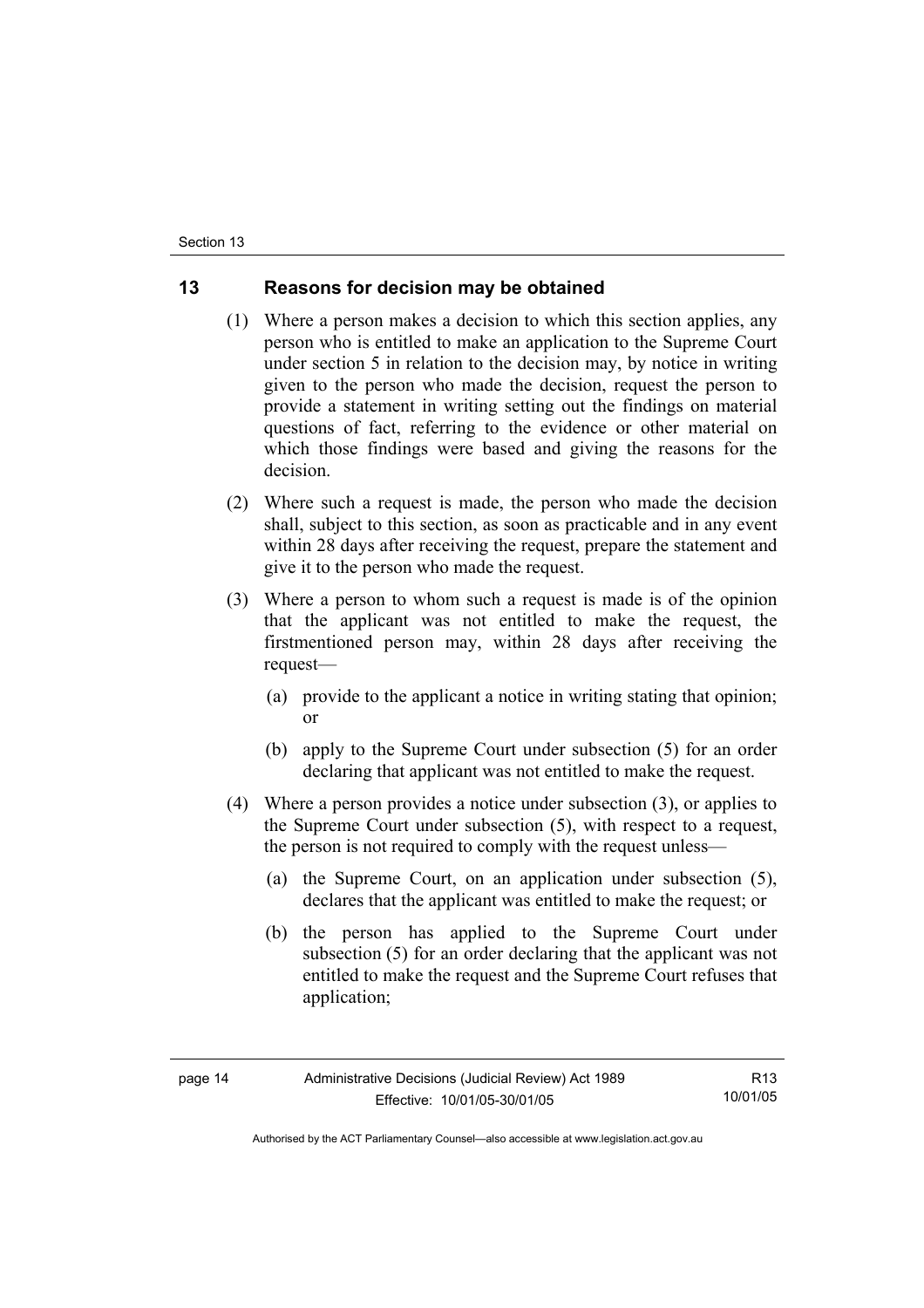### **13 Reasons for decision may be obtained**

- (1) Where a person makes a decision to which this section applies, any person who is entitled to make an application to the Supreme Court under section 5 in relation to the decision may, by notice in writing given to the person who made the decision, request the person to provide a statement in writing setting out the findings on material questions of fact, referring to the evidence or other material on which those findings were based and giving the reasons for the decision.
- (2) Where such a request is made, the person who made the decision shall, subject to this section, as soon as practicable and in any event within 28 days after receiving the request, prepare the statement and give it to the person who made the request.
- (3) Where a person to whom such a request is made is of the opinion that the applicant was not entitled to make the request, the firstmentioned person may, within 28 days after receiving the request—
	- (a) provide to the applicant a notice in writing stating that opinion; or
	- (b) apply to the Supreme Court under subsection (5) for an order declaring that applicant was not entitled to make the request.
- (4) Where a person provides a notice under subsection (3), or applies to the Supreme Court under subsection (5), with respect to a request, the person is not required to comply with the request unless—
	- (a) the Supreme Court, on an application under subsection (5), declares that the applicant was entitled to make the request; or
	- (b) the person has applied to the Supreme Court under subsection (5) for an order declaring that the applicant was not entitled to make the request and the Supreme Court refuses that application;

R13 10/01/05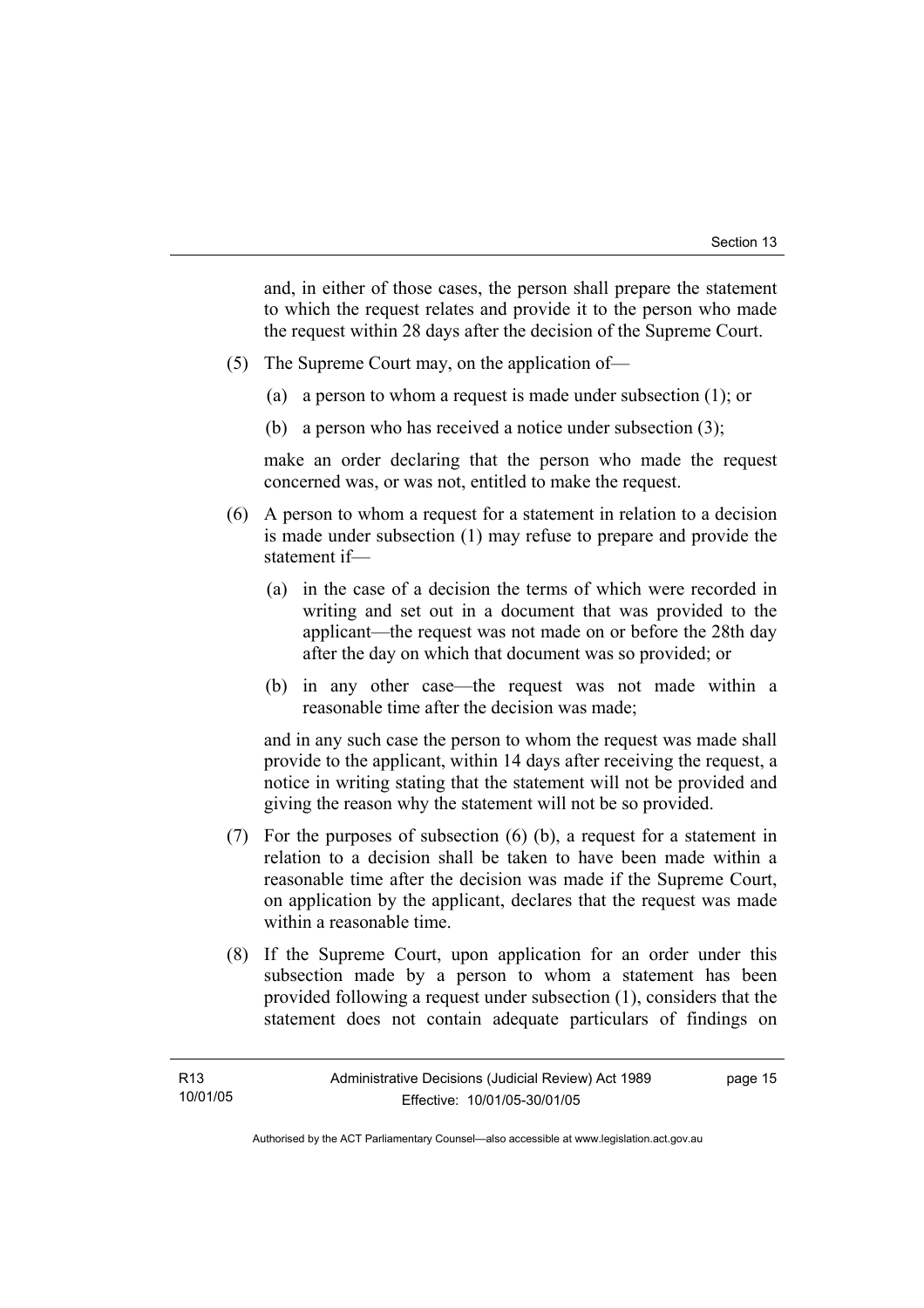and, in either of those cases, the person shall prepare the statement to which the request relates and provide it to the person who made the request within 28 days after the decision of the Supreme Court.

- (5) The Supreme Court may, on the application of—
	- (a) a person to whom a request is made under subsection (1); or
	- (b) a person who has received a notice under subsection (3);

make an order declaring that the person who made the request concerned was, or was not, entitled to make the request.

- (6) A person to whom a request for a statement in relation to a decision is made under subsection (1) may refuse to prepare and provide the statement if—
	- (a) in the case of a decision the terms of which were recorded in writing and set out in a document that was provided to the applicant—the request was not made on or before the 28th day after the day on which that document was so provided; or
	- (b) in any other case—the request was not made within a reasonable time after the decision was made;

and in any such case the person to whom the request was made shall provide to the applicant, within 14 days after receiving the request, a notice in writing stating that the statement will not be provided and giving the reason why the statement will not be so provided.

- (7) For the purposes of subsection (6) (b), a request for a statement in relation to a decision shall be taken to have been made within a reasonable time after the decision was made if the Supreme Court, on application by the applicant, declares that the request was made within a reasonable time.
- (8) If the Supreme Court, upon application for an order under this subsection made by a person to whom a statement has been provided following a request under subsection (1), considers that the statement does not contain adequate particulars of findings on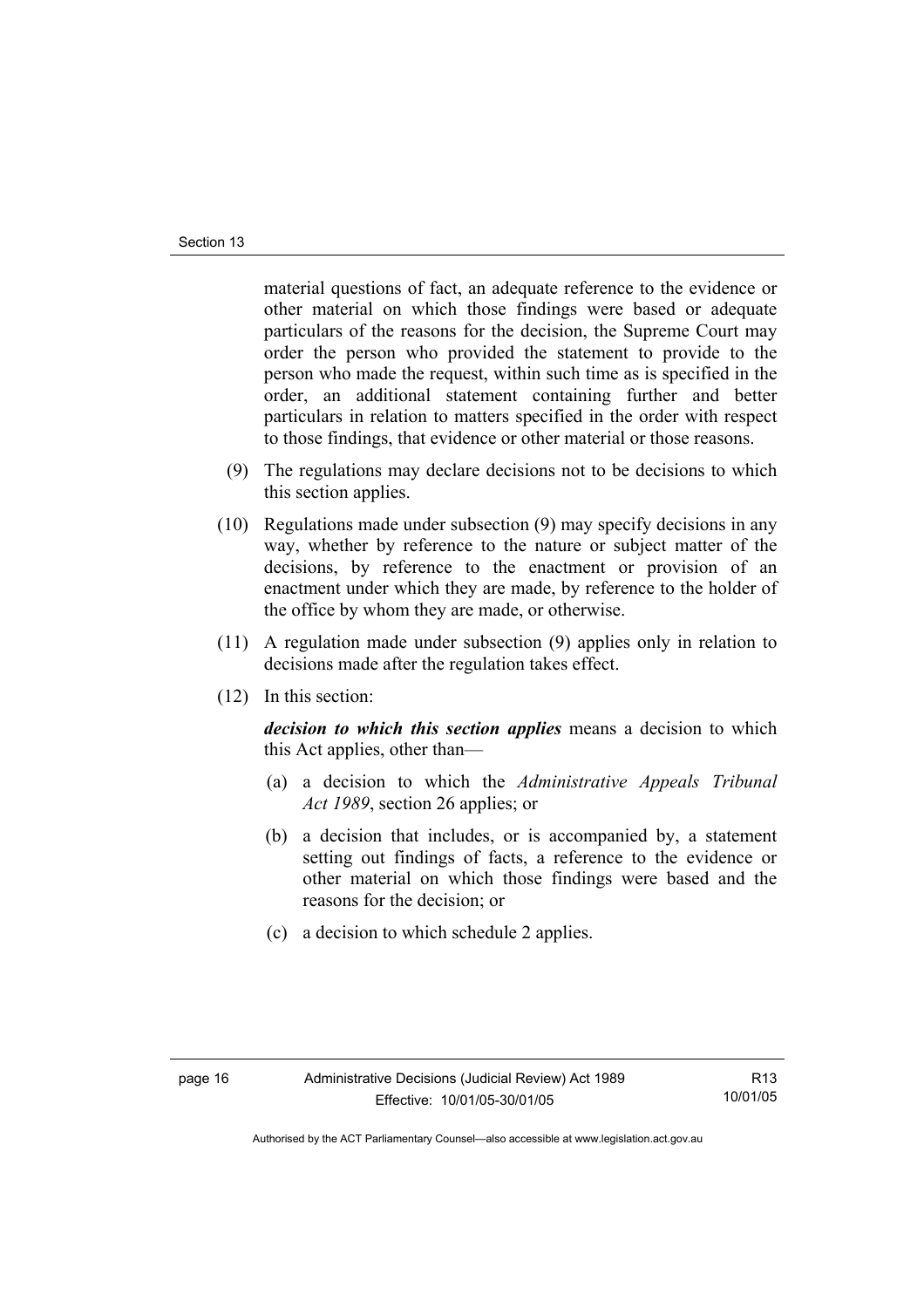material questions of fact, an adequate reference to the evidence or other material on which those findings were based or adequate particulars of the reasons for the decision, the Supreme Court may order the person who provided the statement to provide to the person who made the request, within such time as is specified in the order, an additional statement containing further and better particulars in relation to matters specified in the order with respect to those findings, that evidence or other material or those reasons.

- (9) The regulations may declare decisions not to be decisions to which this section applies.
- (10) Regulations made under subsection (9) may specify decisions in any way, whether by reference to the nature or subject matter of the decisions, by reference to the enactment or provision of an enactment under which they are made, by reference to the holder of the office by whom they are made, or otherwise.
- (11) A regulation made under subsection (9) applies only in relation to decisions made after the regulation takes effect.
- (12) In this section:

*decision to which this section applies* means a decision to which this Act applies, other than—

- (a) a decision to which the *Administrative Appeals Tribunal Act 1989*, section 26 applies; or
- (b) a decision that includes, or is accompanied by, a statement setting out findings of facts, a reference to the evidence or other material on which those findings were based and the reasons for the decision; or
- (c) a decision to which schedule 2 applies.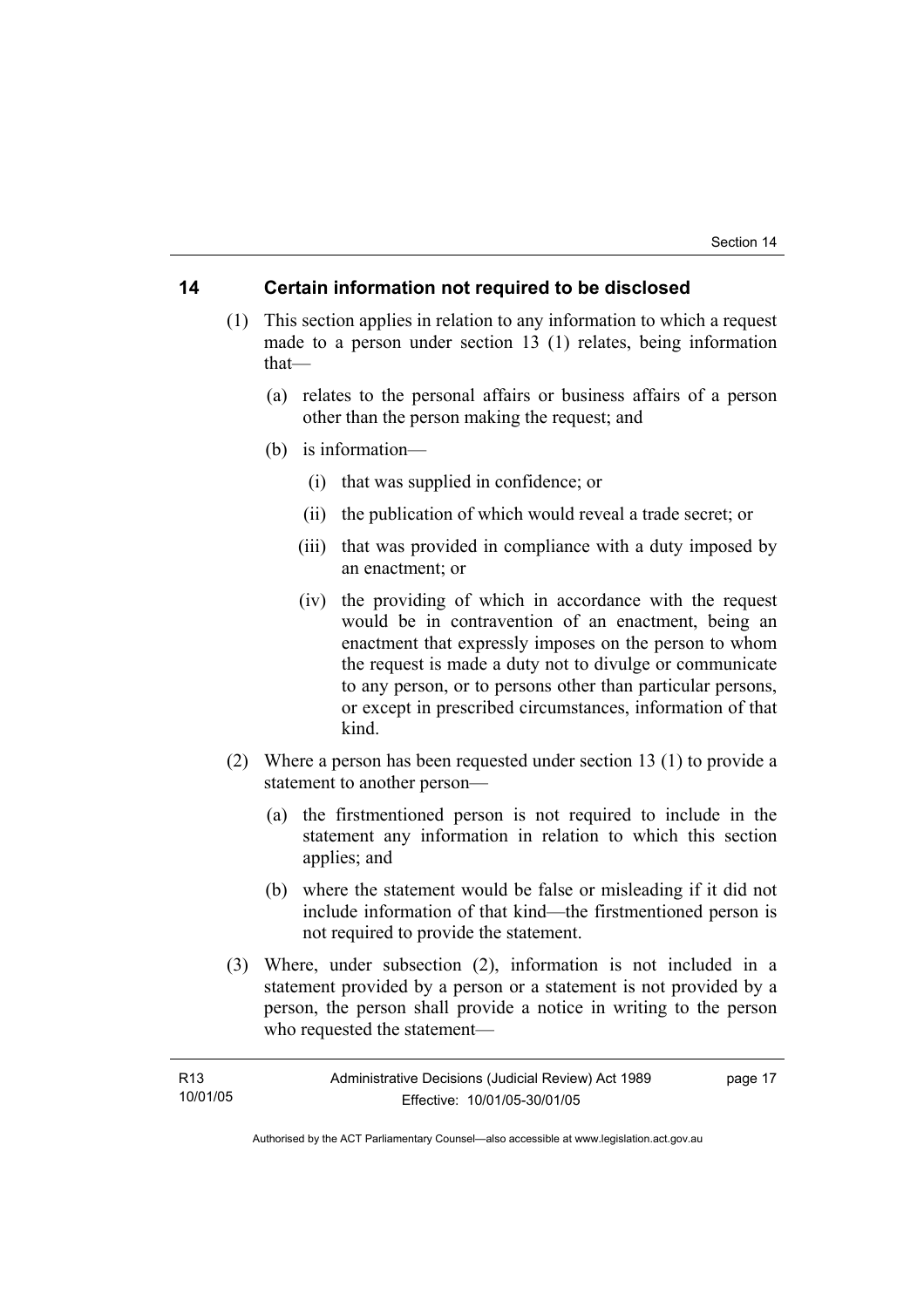#### **14 Certain information not required to be disclosed**

- (1) This section applies in relation to any information to which a request made to a person under section 13 (1) relates, being information that—
	- (a) relates to the personal affairs or business affairs of a person other than the person making the request; and
	- (b) is information—
		- (i) that was supplied in confidence; or
		- (ii) the publication of which would reveal a trade secret; or
		- (iii) that was provided in compliance with a duty imposed by an enactment; or
		- (iv) the providing of which in accordance with the request would be in contravention of an enactment, being an enactment that expressly imposes on the person to whom the request is made a duty not to divulge or communicate to any person, or to persons other than particular persons, or except in prescribed circumstances, information of that kind.
- (2) Where a person has been requested under section 13 (1) to provide a statement to another person—
	- (a) the firstmentioned person is not required to include in the statement any information in relation to which this section applies; and
	- (b) where the statement would be false or misleading if it did not include information of that kind—the firstmentioned person is not required to provide the statement.
- (3) Where, under subsection (2), information is not included in a statement provided by a person or a statement is not provided by a person, the person shall provide a notice in writing to the person who requested the statement—

| R <sub>13</sub> | Administrative Decisions (Judicial Review) Act 1989 | page 17 |
|-----------------|-----------------------------------------------------|---------|
| 10/01/05        | Effective: 10/01/05-30/01/05                        |         |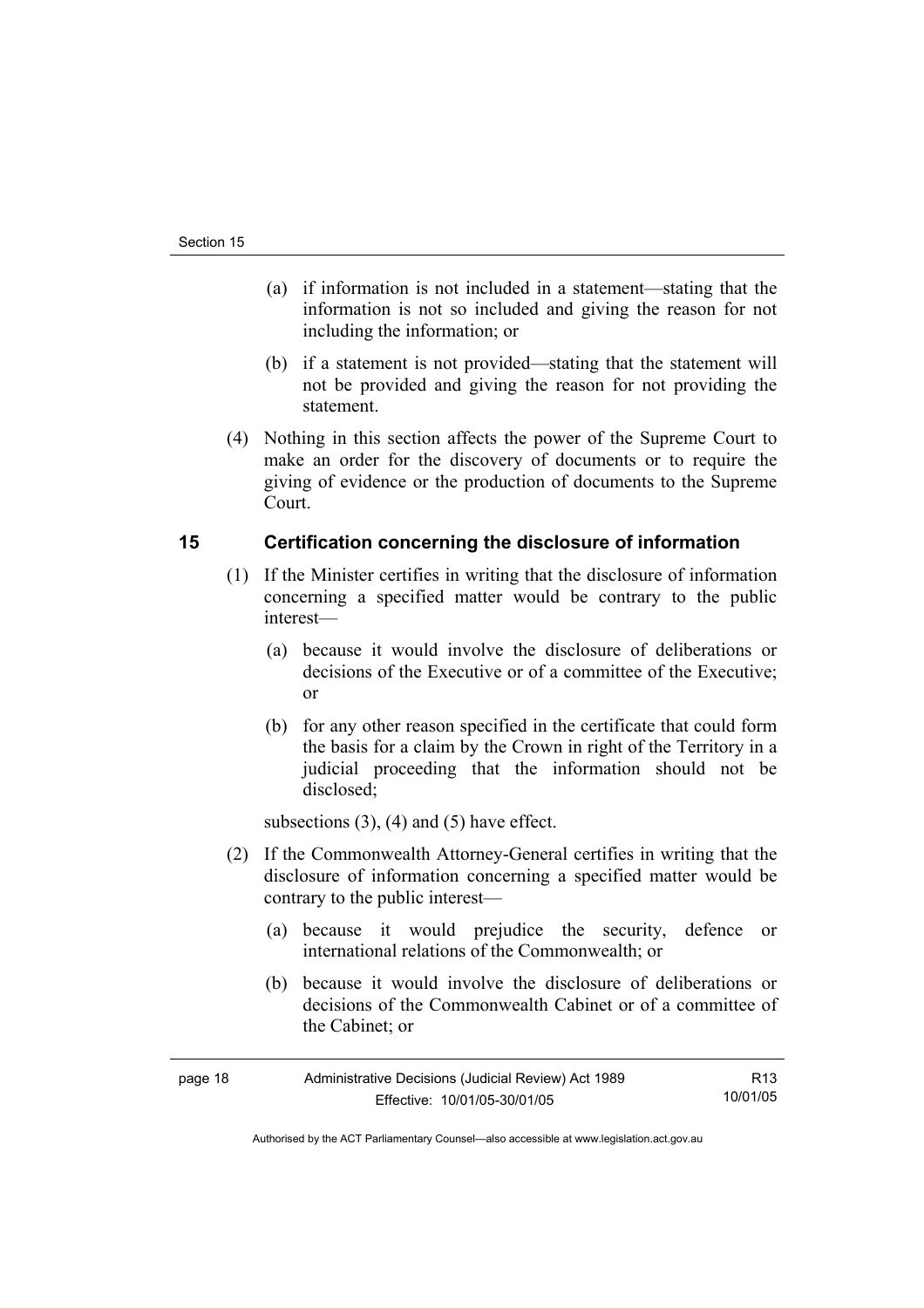- (a) if information is not included in a statement—stating that the information is not so included and giving the reason for not including the information; or
- (b) if a statement is not provided—stating that the statement will not be provided and giving the reason for not providing the statement.
- (4) Nothing in this section affects the power of the Supreme Court to make an order for the discovery of documents or to require the giving of evidence or the production of documents to the Supreme Court.

### **15 Certification concerning the disclosure of information**

- (1) If the Minister certifies in writing that the disclosure of information concerning a specified matter would be contrary to the public interest—
	- (a) because it would involve the disclosure of deliberations or decisions of the Executive or of a committee of the Executive; or
	- (b) for any other reason specified in the certificate that could form the basis for a claim by the Crown in right of the Territory in a judicial proceeding that the information should not be disclosed;

subsections  $(3)$ ,  $(4)$  and  $(5)$  have effect.

- (2) If the Commonwealth Attorney-General certifies in writing that the disclosure of information concerning a specified matter would be contrary to the public interest—
	- (a) because it would prejudice the security, defence or international relations of the Commonwealth; or
	- (b) because it would involve the disclosure of deliberations or decisions of the Commonwealth Cabinet or of a committee of the Cabinet; or

| page 18 | Administrative Decisions (Judicial Review) Act 1989 | R13      |
|---------|-----------------------------------------------------|----------|
|         | Effective: 10/01/05-30/01/05                        | 10/01/05 |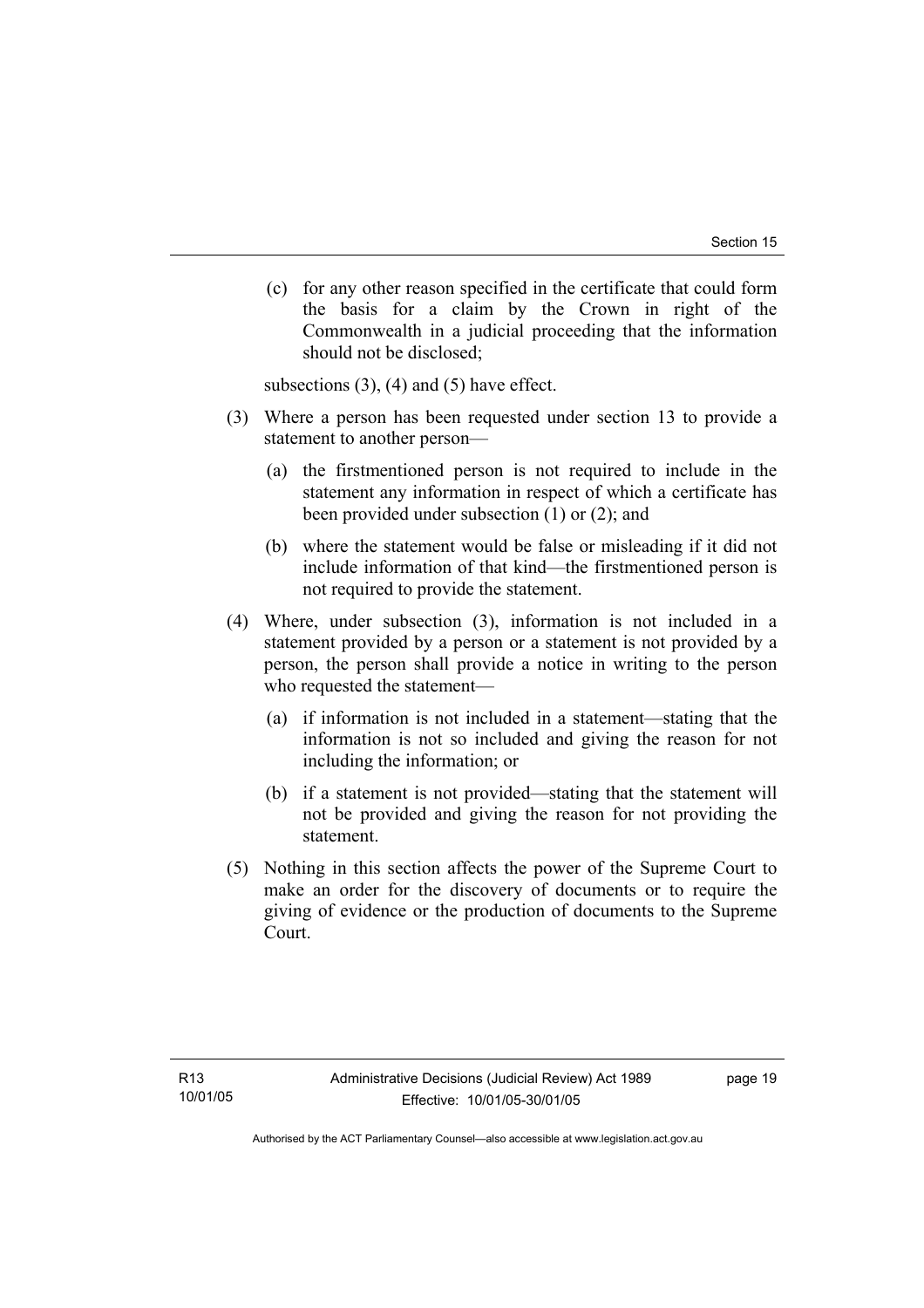(c) for any other reason specified in the certificate that could form the basis for a claim by the Crown in right of the Commonwealth in a judicial proceeding that the information should not be disclosed;

subsections  $(3)$ ,  $(4)$  and  $(5)$  have effect.

- (3) Where a person has been requested under section 13 to provide a statement to another person—
	- (a) the firstmentioned person is not required to include in the statement any information in respect of which a certificate has been provided under subsection (1) or (2); and
	- (b) where the statement would be false or misleading if it did not include information of that kind—the firstmentioned person is not required to provide the statement.
- (4) Where, under subsection (3), information is not included in a statement provided by a person or a statement is not provided by a person, the person shall provide a notice in writing to the person who requested the statement—
	- (a) if information is not included in a statement—stating that the information is not so included and giving the reason for not including the information; or
	- (b) if a statement is not provided—stating that the statement will not be provided and giving the reason for not providing the statement.
- (5) Nothing in this section affects the power of the Supreme Court to make an order for the discovery of documents or to require the giving of evidence or the production of documents to the Supreme Court.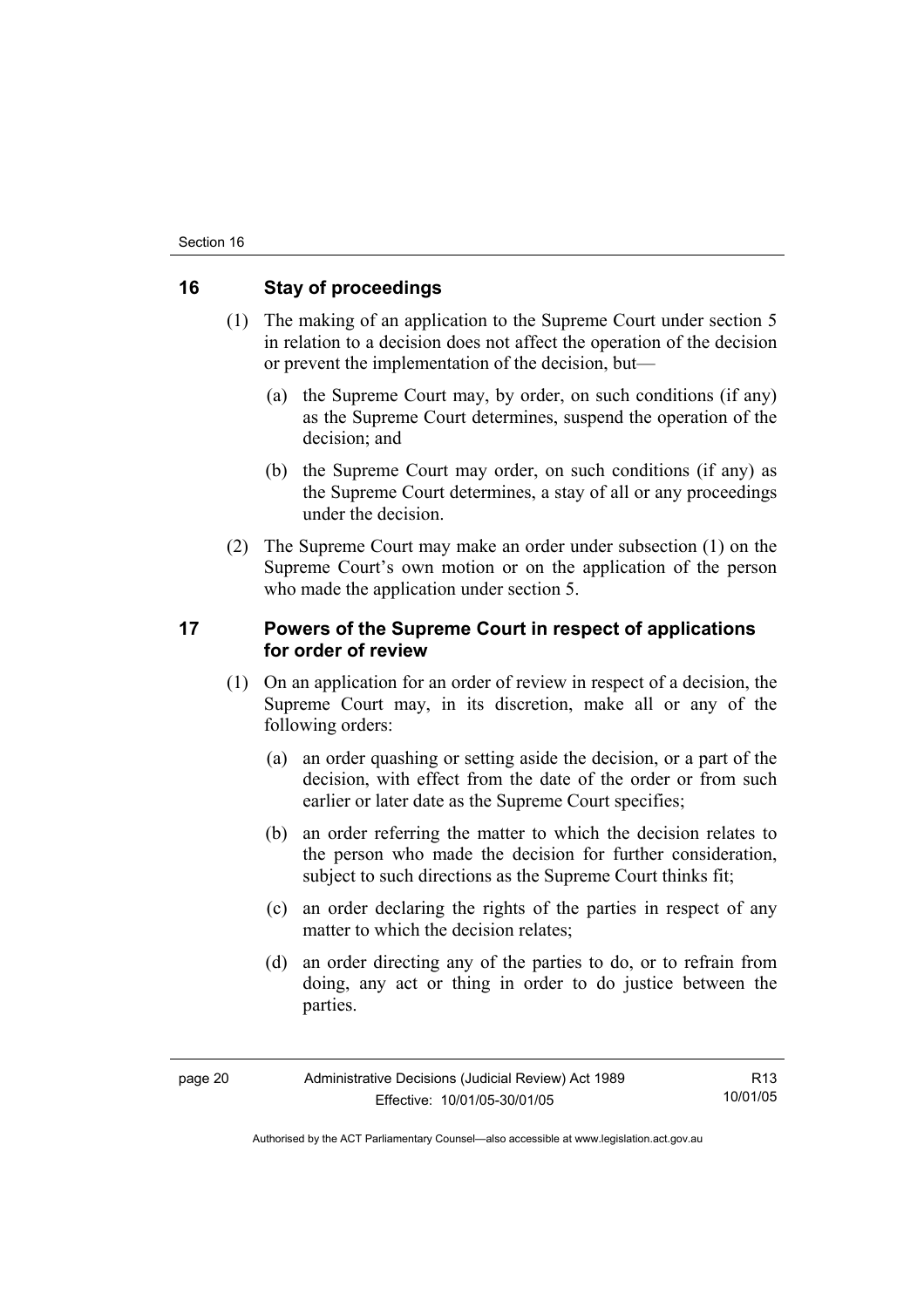### **16 Stay of proceedings**

- (1) The making of an application to the Supreme Court under section 5 in relation to a decision does not affect the operation of the decision or prevent the implementation of the decision, but—
	- (a) the Supreme Court may, by order, on such conditions (if any) as the Supreme Court determines, suspend the operation of the decision; and
	- (b) the Supreme Court may order, on such conditions (if any) as the Supreme Court determines, a stay of all or any proceedings under the decision.
- (2) The Supreme Court may make an order under subsection (1) on the Supreme Court's own motion or on the application of the person who made the application under section 5.

### **17 Powers of the Supreme Court in respect of applications for order of review**

- (1) On an application for an order of review in respect of a decision, the Supreme Court may, in its discretion, make all or any of the following orders:
	- (a) an order quashing or setting aside the decision, or a part of the decision, with effect from the date of the order or from such earlier or later date as the Supreme Court specifies;
	- (b) an order referring the matter to which the decision relates to the person who made the decision for further consideration, subject to such directions as the Supreme Court thinks fit:
	- (c) an order declaring the rights of the parties in respect of any matter to which the decision relates:
	- (d) an order directing any of the parties to do, or to refrain from doing, any act or thing in order to do justice between the parties.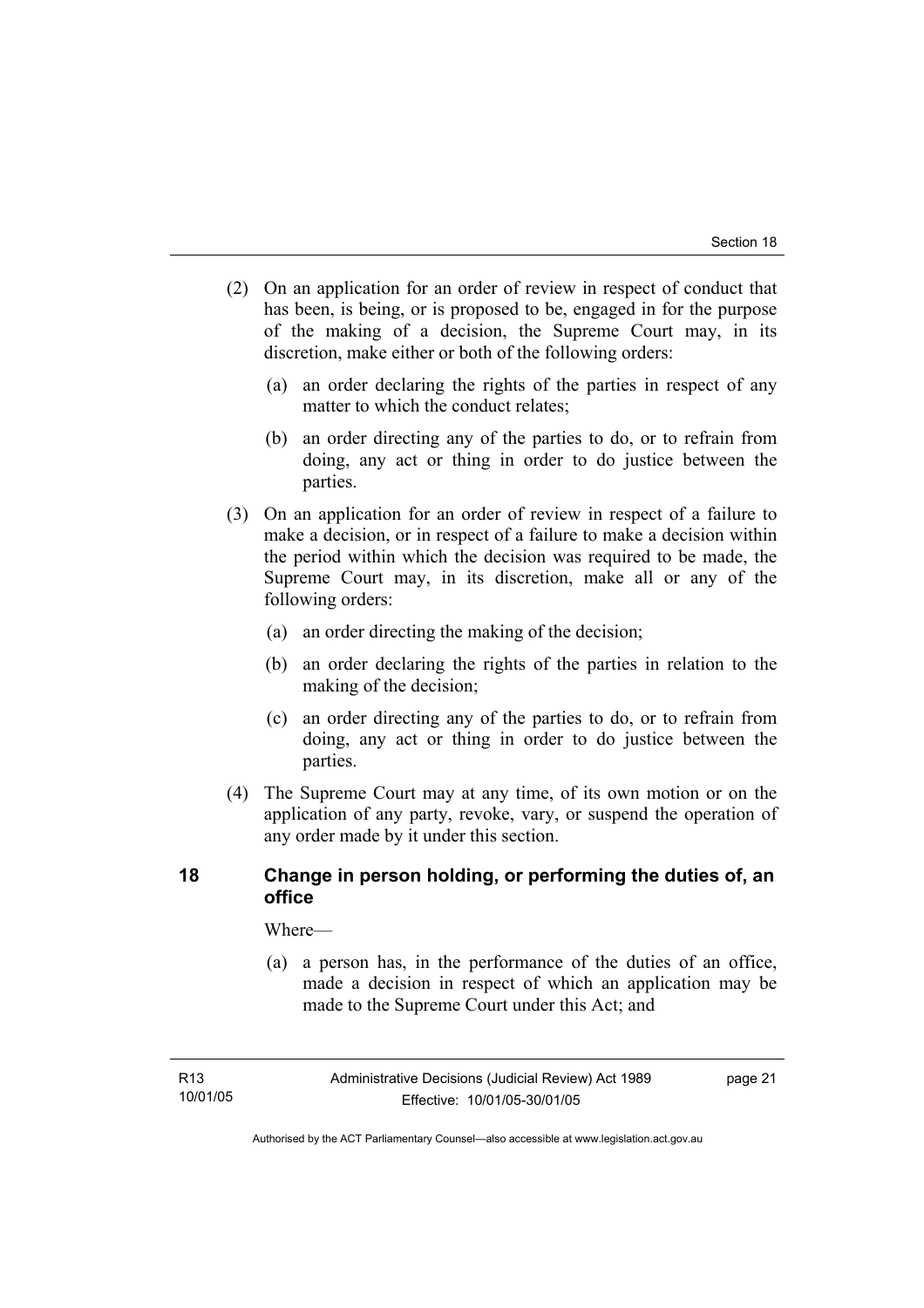- (2) On an application for an order of review in respect of conduct that has been, is being, or is proposed to be, engaged in for the purpose of the making of a decision, the Supreme Court may, in its discretion, make either or both of the following orders:
	- (a) an order declaring the rights of the parties in respect of any matter to which the conduct relates;
	- (b) an order directing any of the parties to do, or to refrain from doing, any act or thing in order to do justice between the parties.
- (3) On an application for an order of review in respect of a failure to make a decision, or in respect of a failure to make a decision within the period within which the decision was required to be made, the Supreme Court may, in its discretion, make all or any of the following orders:
	- (a) an order directing the making of the decision;
	- (b) an order declaring the rights of the parties in relation to the making of the decision;
	- (c) an order directing any of the parties to do, or to refrain from doing, any act or thing in order to do justice between the parties.
- (4) The Supreme Court may at any time, of its own motion or on the application of any party, revoke, vary, or suspend the operation of any order made by it under this section.

### **18 Change in person holding, or performing the duties of, an office**

Where—

 (a) a person has, in the performance of the duties of an office, made a decision in respect of which an application may be made to the Supreme Court under this Act; and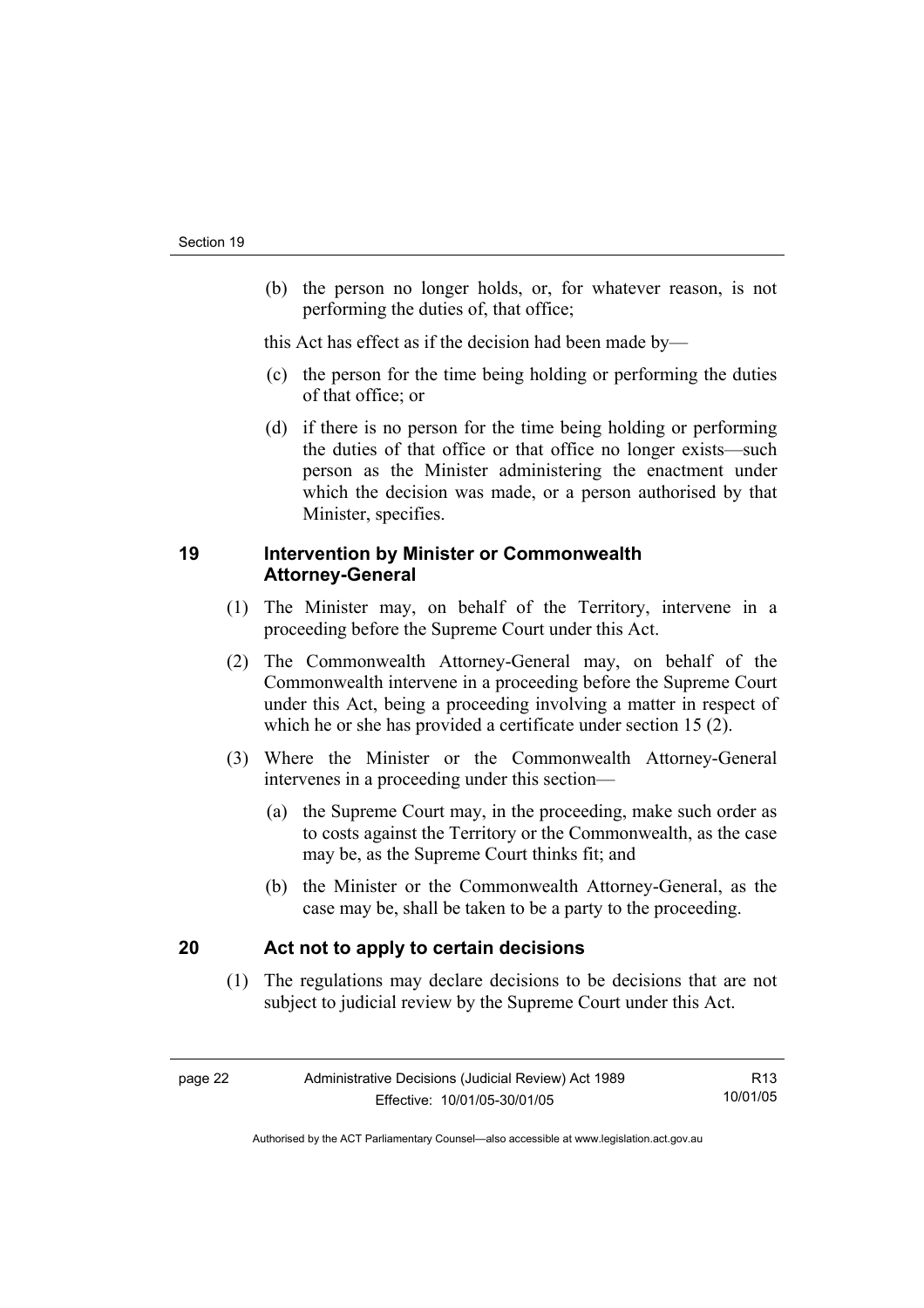(b) the person no longer holds, or, for whatever reason, is not performing the duties of, that office;

this Act has effect as if the decision had been made by—

- (c) the person for the time being holding or performing the duties of that office; or
- (d) if there is no person for the time being holding or performing the duties of that office or that office no longer exists—such person as the Minister administering the enactment under which the decision was made, or a person authorised by that Minister, specifies.

### **19 Intervention by Minister or Commonwealth Attorney-General**

- (1) The Minister may, on behalf of the Territory, intervene in a proceeding before the Supreme Court under this Act.
- (2) The Commonwealth Attorney-General may, on behalf of the Commonwealth intervene in a proceeding before the Supreme Court under this Act, being a proceeding involving a matter in respect of which he or she has provided a certificate under section 15 (2).
- (3) Where the Minister or the Commonwealth Attorney-General intervenes in a proceeding under this section—
	- (a) the Supreme Court may, in the proceeding, make such order as to costs against the Territory or the Commonwealth, as the case may be, as the Supreme Court thinks fit; and
	- (b) the Minister or the Commonwealth Attorney-General, as the case may be, shall be taken to be a party to the proceeding.

### **20 Act not to apply to certain decisions**

 (1) The regulations may declare decisions to be decisions that are not subject to judicial review by the Supreme Court under this Act.

R13 10/01/05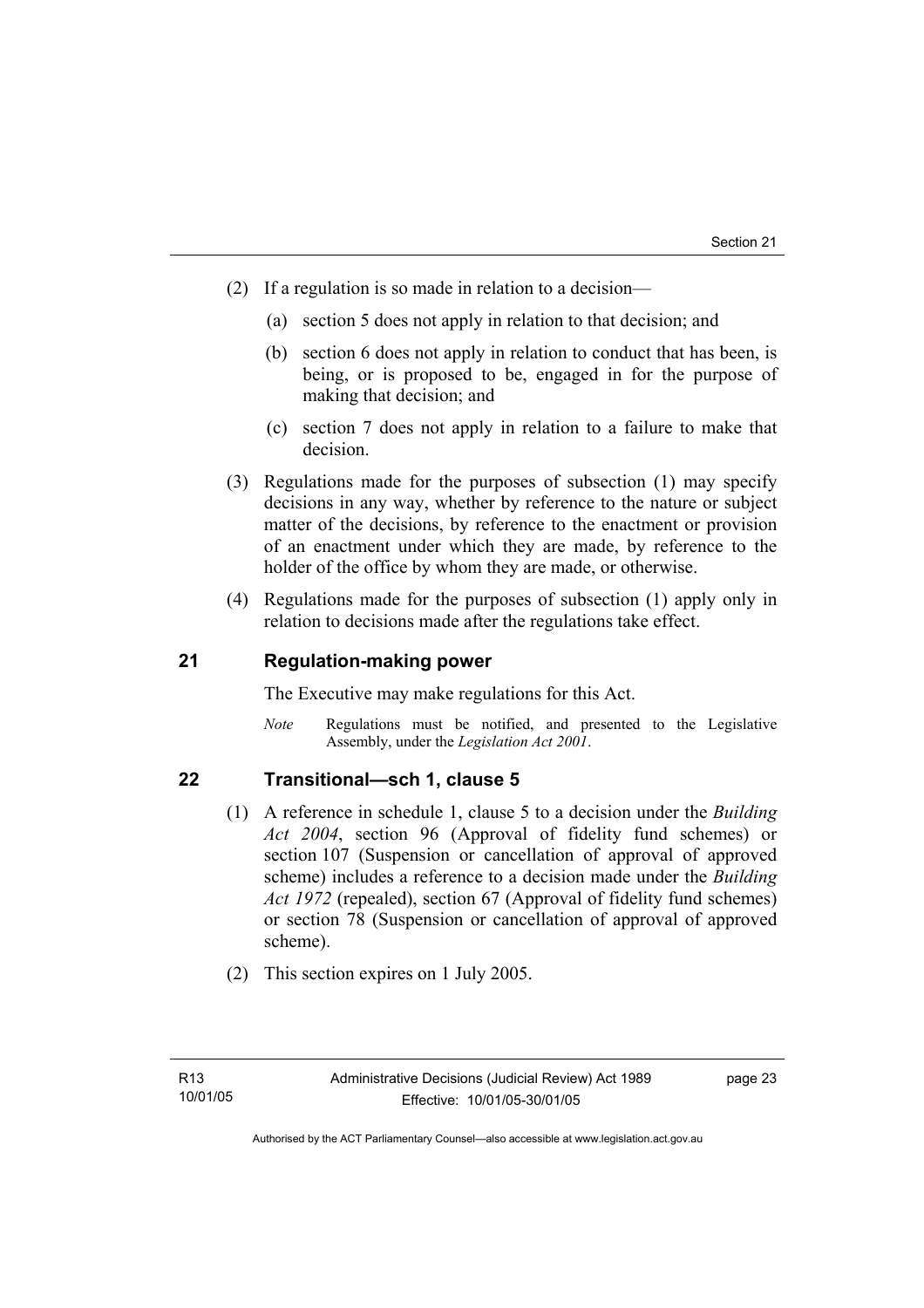- (2) If a regulation is so made in relation to a decision—
	- (a) section 5 does not apply in relation to that decision; and
	- (b) section 6 does not apply in relation to conduct that has been, is being, or is proposed to be, engaged in for the purpose of making that decision; and
	- (c) section 7 does not apply in relation to a failure to make that decision.
- (3) Regulations made for the purposes of subsection (1) may specify decisions in any way, whether by reference to the nature or subject matter of the decisions, by reference to the enactment or provision of an enactment under which they are made, by reference to the holder of the office by whom they are made, or otherwise.
- (4) Regulations made for the purposes of subsection (1) apply only in relation to decisions made after the regulations take effect.

### **21 Regulation-making power**

The Executive may make regulations for this Act.

*Note* Regulations must be notified, and presented to the Legislative Assembly, under the *Legislation Act 2001*.

### **22 Transitional—sch 1, clause 5**

- (1) A reference in schedule 1, clause 5 to a decision under the *Building Act 2004*, section 96 (Approval of fidelity fund schemes) or section 107 (Suspension or cancellation of approval of approved scheme) includes a reference to a decision made under the *Building Act 1972* (repealed), section 67 (Approval of fidelity fund schemes) or section 78 (Suspension or cancellation of approval of approved scheme).
- (2) This section expires on 1 July 2005.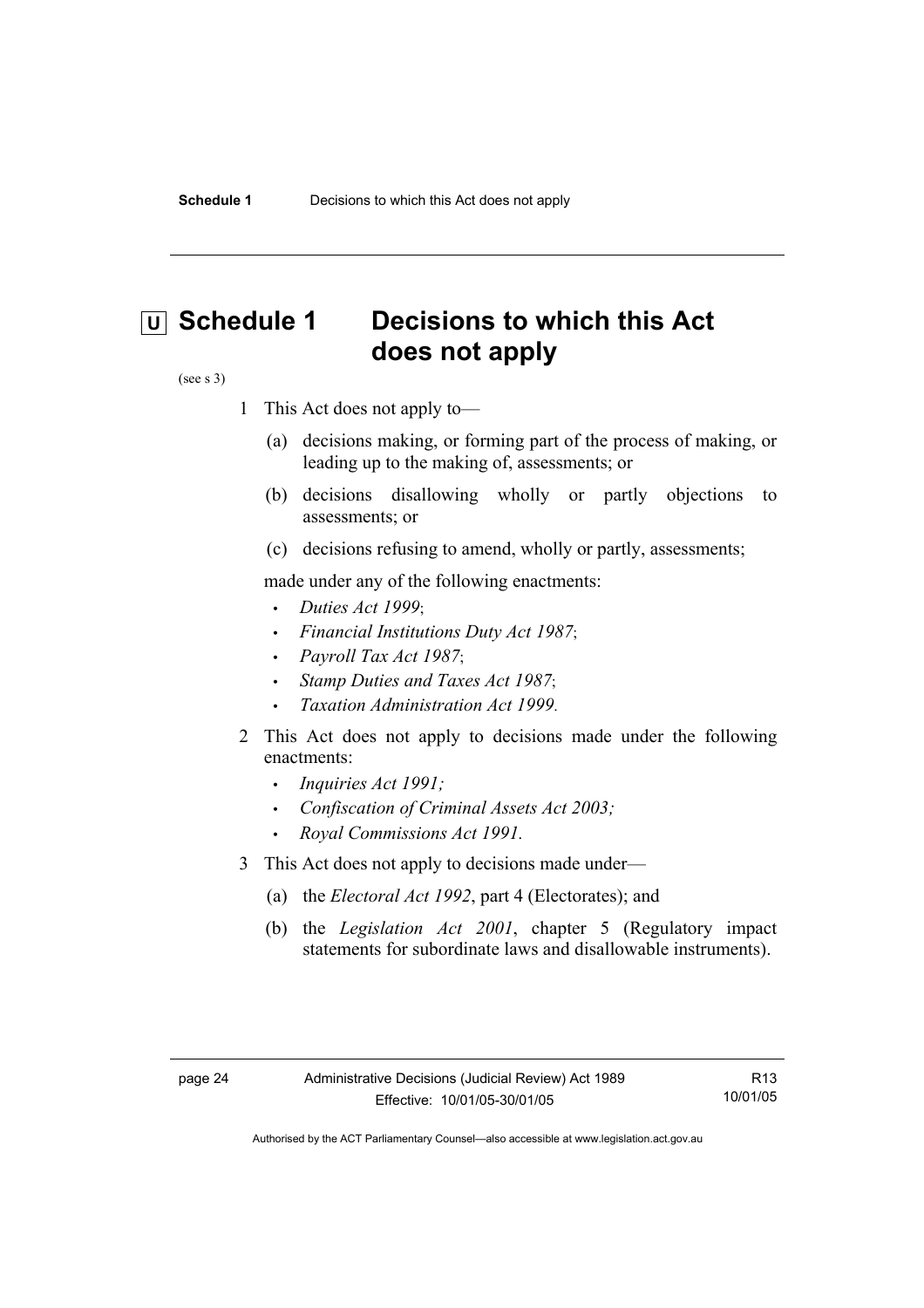## **U** Schedule 1 Decisions to which this Act **does not apply**

#### (see s 3)

- 1 This Act does not apply to—
	- (a) decisions making, or forming part of the process of making, or leading up to the making of, assessments; or
	- (b) decisions disallowing wholly or partly objections to assessments; or
	- (c) decisions refusing to amend, wholly or partly, assessments;

made under any of the following enactments:

- *Duties Act 1999*;
- *Financial Institutions Duty Act 1987*;
- *Payroll Tax Act 1987*;
- *Stamp Duties and Taxes Act 1987*;
- *Taxation Administration Act 1999*.
- 2 This Act does not apply to decisions made under the following enactments:
	- *Inquiries Act 1991;*
	- *Confiscation of Criminal Assets Act 2003;*
	- *Royal Commissions Act 1991.*
- 3 This Act does not apply to decisions made under—
	- (a) the *Electoral Act 1992*, part 4 (Electorates); and
	- (b) the *Legislation Act 2001*, chapter 5 (Regulatory impact statements for subordinate laws and disallowable instruments).

R13 10/01/05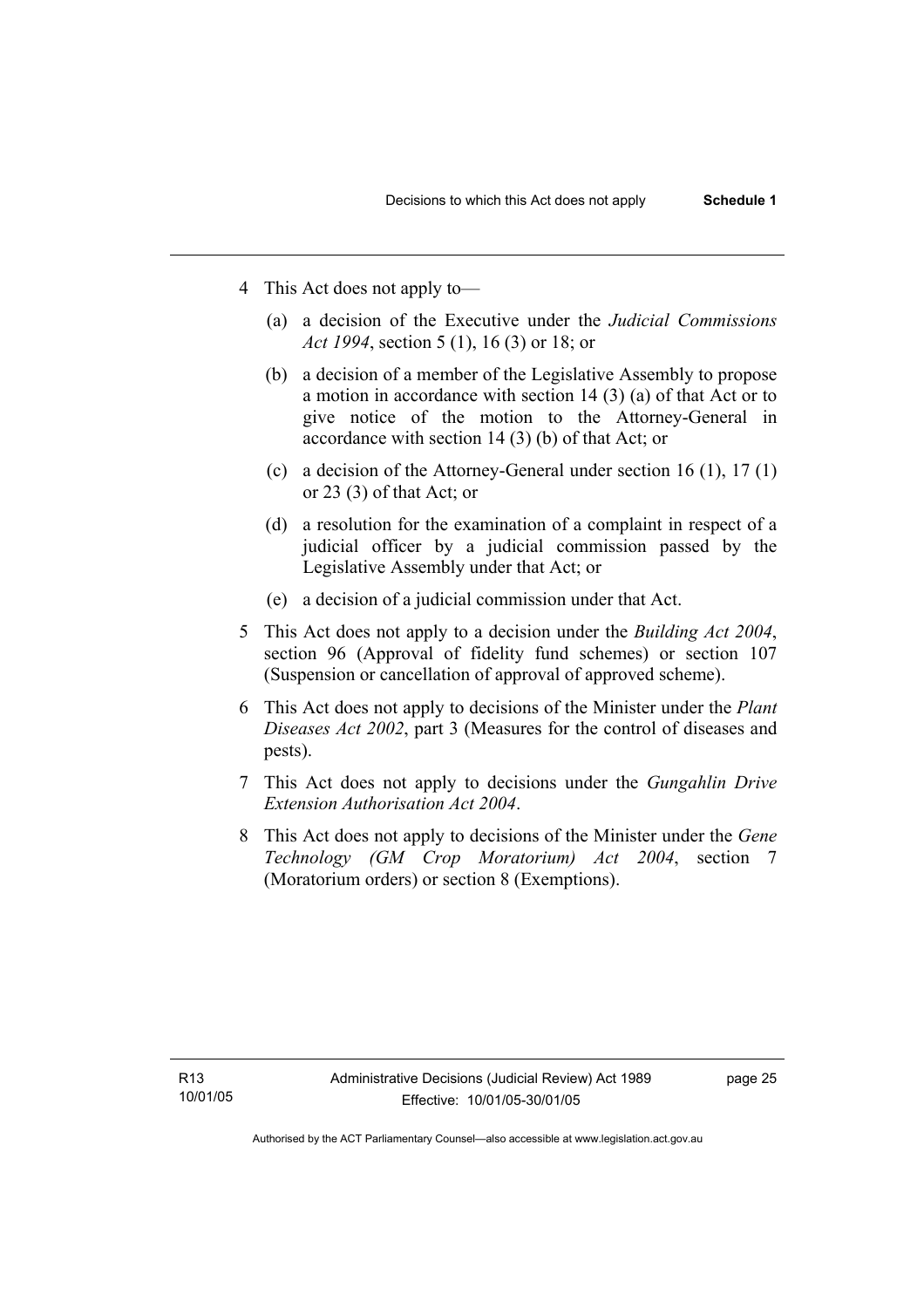- 4 This Act does not apply to—
	- (a) a decision of the Executive under the *Judicial Commissions Act 1994*, section 5 (1), 16 (3) or 18; or
	- (b) a decision of a member of the Legislative Assembly to propose a motion in accordance with section 14 (3) (a) of that Act or to give notice of the motion to the Attorney-General in accordance with section 14 (3) (b) of that Act; or
	- (c) a decision of the Attorney-General under section 16 (1), 17 (1) or 23 (3) of that Act; or
	- (d) a resolution for the examination of a complaint in respect of a judicial officer by a judicial commission passed by the Legislative Assembly under that Act; or
	- (e) a decision of a judicial commission under that Act .
- 5 This Act does not apply to a decision under the *Building Act 2004*, section 96 (Approval of fidelity fund schemes) or section 107 (Suspension or cancellation of approval of approved scheme).
- 6 This Act does not apply to decisions of the Minister under the *Plant Diseases Act 2002*, part 3 (Measures for the control of diseases and pests).
- 7 This Act does not apply to decisions under the *Gungahlin Drive Extension Authorisation Act 2004*.
- 8 This Act does not apply to decisions of the Minister under the *Gene Technology (GM Crop Moratorium) Act 2004*, section 7 (Moratorium orders) or section 8 (Exemptions).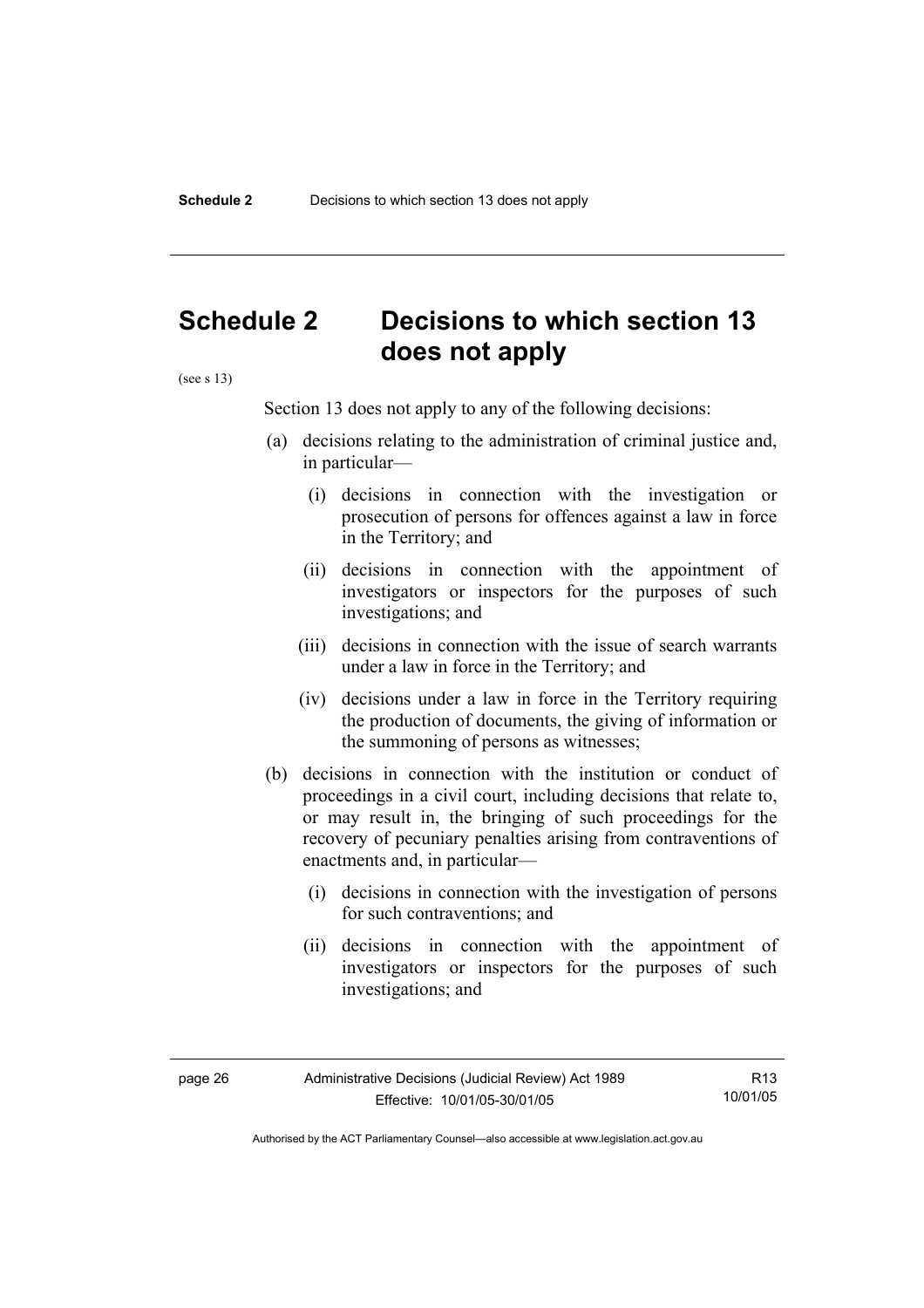## **Schedule 2 Decisions to which section 13 does not apply**

(see s 13)

Section 13 does not apply to any of the following decisions:

- (a) decisions relating to the administration of criminal justice and, in particular—
	- (i) decisions in connection with the investigation or prosecution of persons for offences against a law in force in the Territory; and
	- (ii) decisions in connection with the appointment of investigators or inspectors for the purposes of such investigations; and
	- (iii) decisions in connection with the issue of search warrants under a law in force in the Territory; and
	- (iv) decisions under a law in force in the Territory requiring the production of documents, the giving of information or the summoning of persons as witnesses;
- (b) decisions in connection with the institution or conduct of proceedings in a civil court, including decisions that relate to, or may result in, the bringing of such proceedings for the recovery of pecuniary penalties arising from contraventions of enactments and, in particular—
	- (i) decisions in connection with the investigation of persons for such contraventions; and
	- (ii) decisions in connection with the appointment of investigators or inspectors for the purposes of such investigations; and

R13 10/01/05

Authorised by the ACT Parliamentary Counsel—also accessible at www.legislation.act.gov.au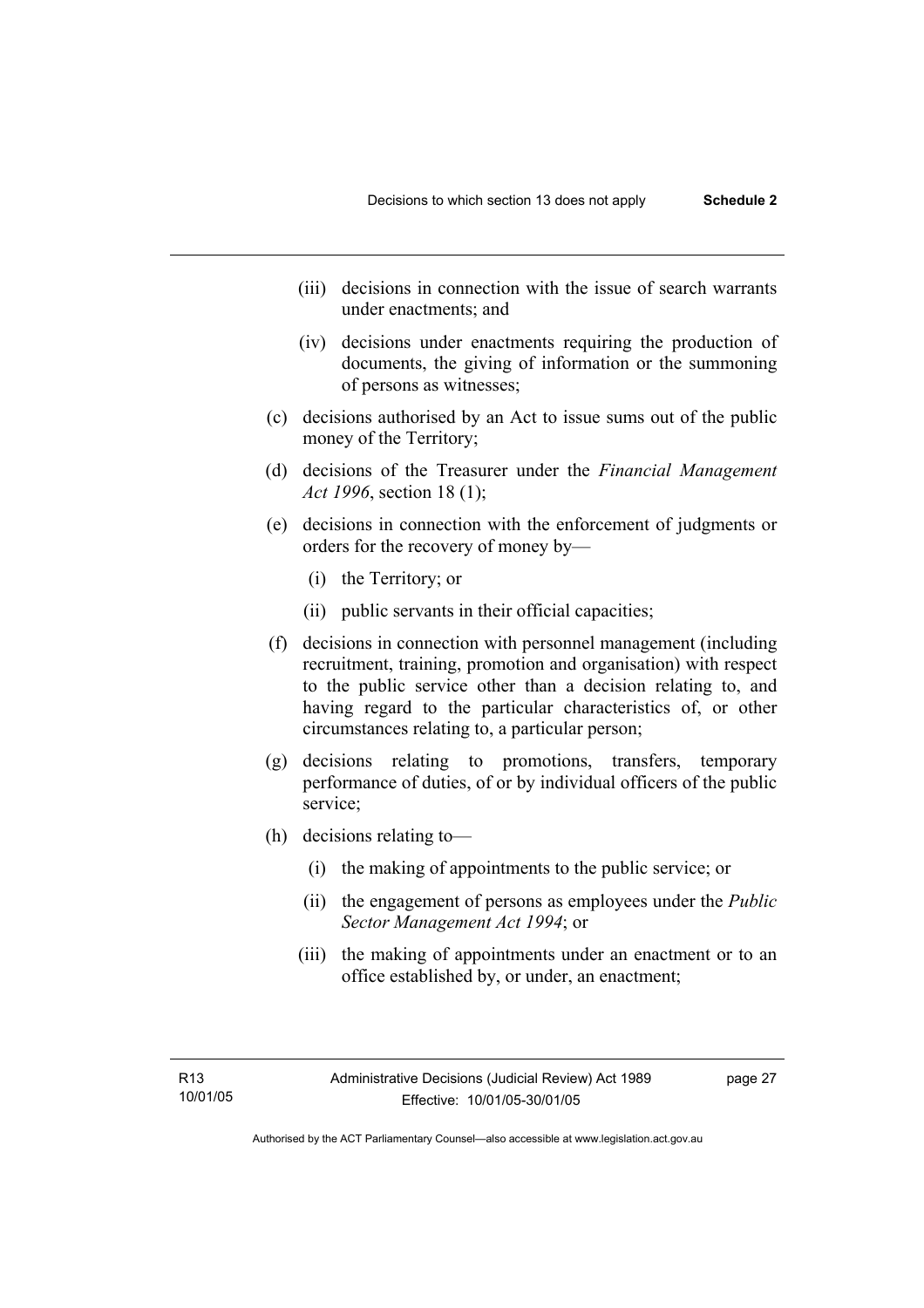- (iii) decisions in connection with the issue of search warrants under enactments; and
- (iv) decisions under enactments requiring the production of documents, the giving of information or the summoning of persons as witnesses;
- (c) decisions authorised by an Act to issue sums out of the public money of the Territory;
- (d) decisions of the Treasurer under the *Financial Management Act 1996*, section 18 (1);
- (e) decisions in connection with the enforcement of judgments or orders for the recovery of money by—
	- (i) the Territory; or
	- (ii) public servants in their official capacities;
- (f) decisions in connection with personnel management (including recruitment, training, promotion and organisation) with respect to the public service other than a decision relating to, and having regard to the particular characteristics of, or other circumstances relating to, a particular person;
- (g) decisions relating to promotions, transfers, temporary performance of duties, of or by individual officers of the public service;
- (h) decisions relating to—
	- (i) the making of appointments to the public service; or
	- (ii) the engagement of persons as employees under the *Public Sector Management Act 1994*; or
	- (iii) the making of appointments under an enactment or to an office established by, or under, an enactment;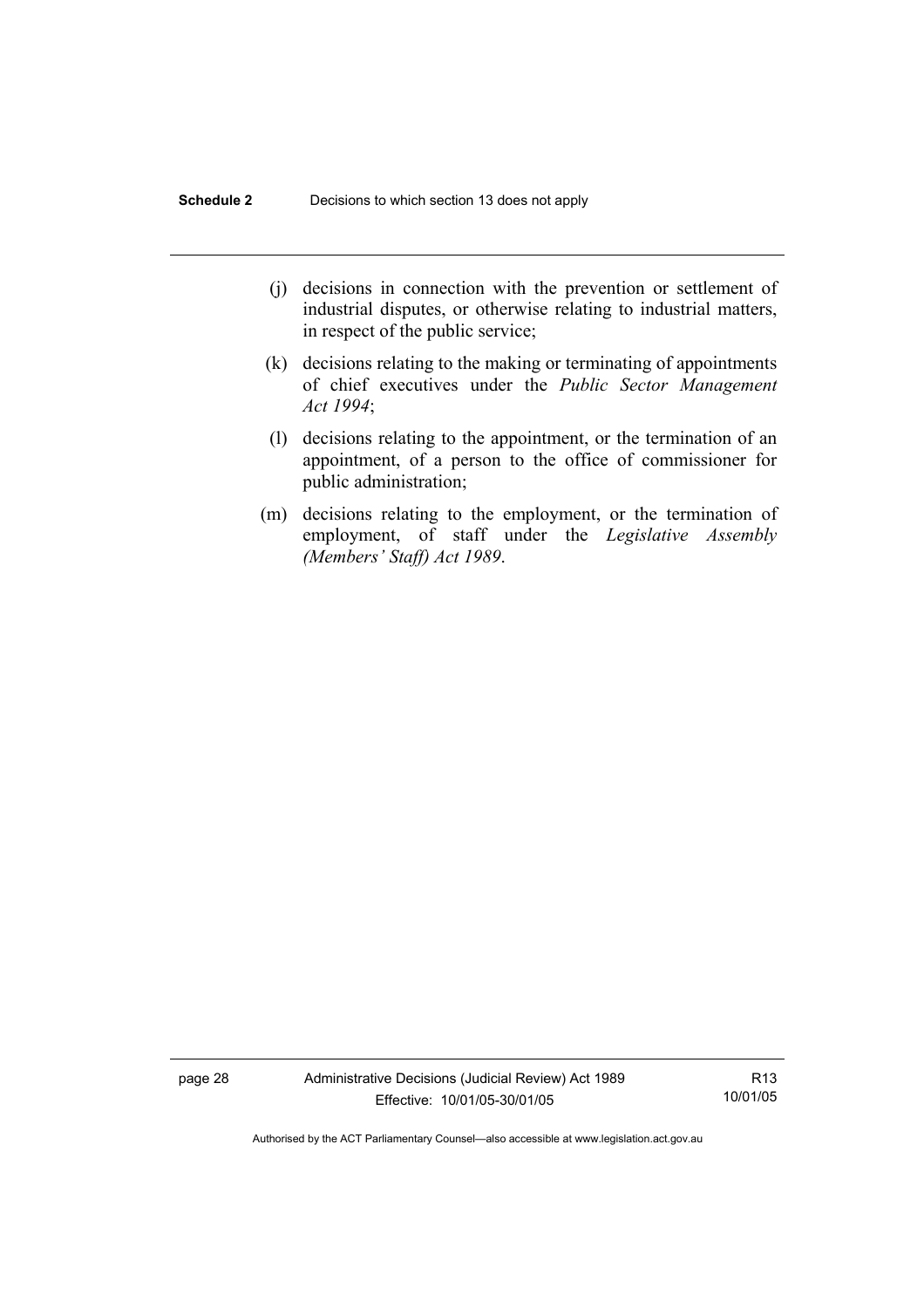- (j) decisions in connection with the prevention or settlement of industrial disputes, or otherwise relating to industrial matters, in respect of the public service;
- (k) decisions relating to the making or terminating of appointments of chief executives under the *Public Sector Management Act 1994*;
- (l) decisions relating to the appointment, or the termination of an appointment, of a person to the office of commissioner for public administration;
- (m) decisions relating to the employment, or the termination of employment, of staff under the *Legislative Assembly (Members' Staff) Act 1989*.

page 28 Administrative Decisions (Judicial Review) Act 1989 Effective: 10/01/05-30/01/05

R13 10/01/05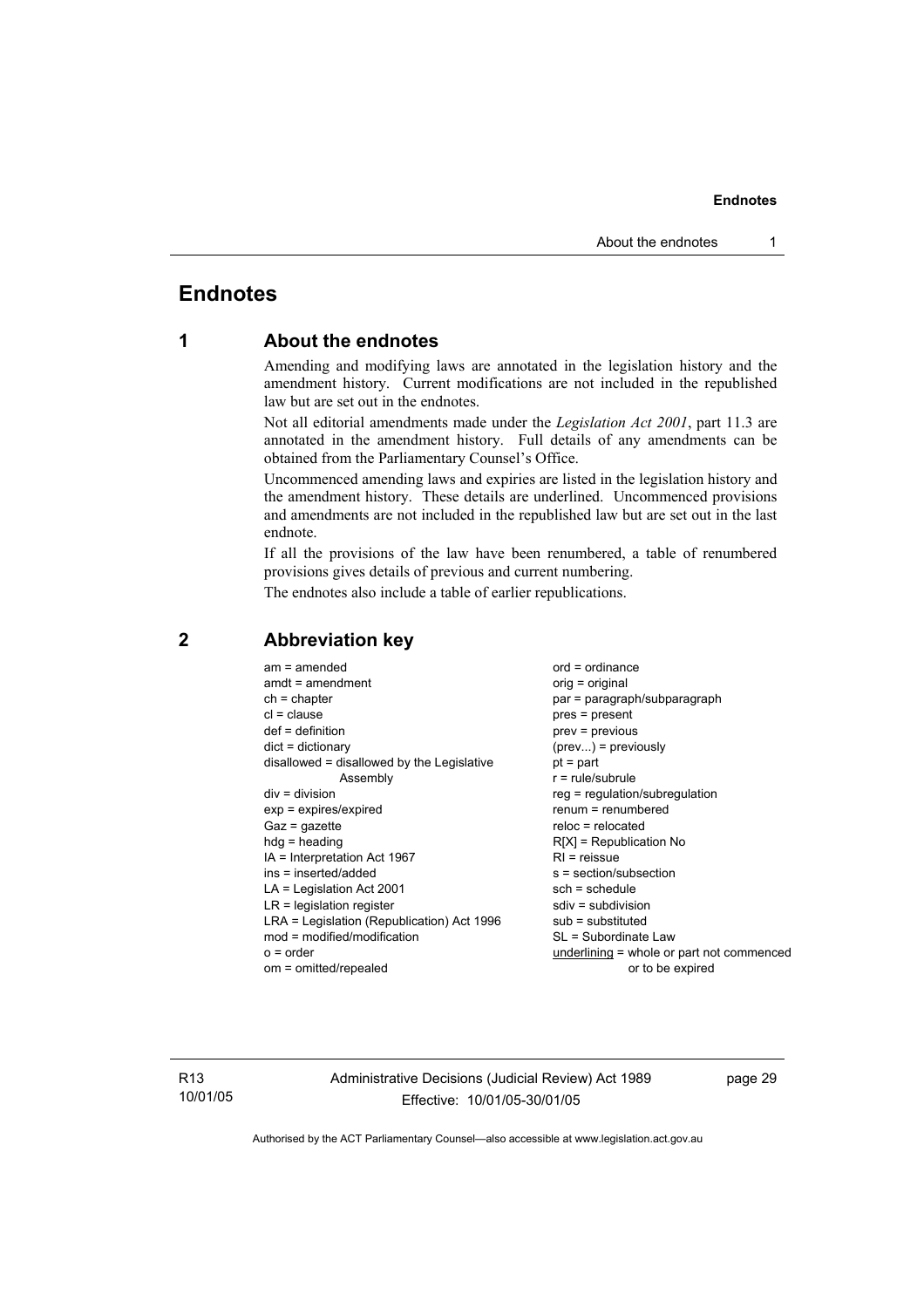### **Endnotes**

### **1 About the endnotes**

Amending and modifying laws are annotated in the legislation history and the amendment history. Current modifications are not included in the republished law but are set out in the endnotes.

Not all editorial amendments made under the *Legislation Act 2001*, part 11.3 are annotated in the amendment history. Full details of any amendments can be obtained from the Parliamentary Counsel's Office.

Uncommenced amending laws and expiries are listed in the legislation history and the amendment history. These details are underlined. Uncommenced provisions and amendments are not included in the republished law but are set out in the last endnote.

If all the provisions of the law have been renumbered, a table of renumbered provisions gives details of previous and current numbering.

The endnotes also include a table of earlier republications.

| $am = amended$<br>$amdt = amendment$<br>$ch = chapter$<br>$cl = clause$<br>$def = definition$<br>$dict = dictionary$<br>disallowed = disallowed by the Legislative<br>Assembly<br>$div = division$<br>$exp = expires/expired$<br>$Gaz = gazette$<br>$h dq =$ heading<br>$IA = Interpretation Act 1967$ | $ord = ordinance$<br>orig = original<br>par = paragraph/subparagraph<br>$pres = present$<br>$prev = previous$<br>$(\text{prev})$ = previously<br>$pt = part$<br>$r = rule/subrule$<br>reg = regulation/subregulation<br>$renum = renumbered$<br>$reloc = relocated$<br>$R[X]$ = Republication No<br>$RI = reissue$ |
|--------------------------------------------------------------------------------------------------------------------------------------------------------------------------------------------------------------------------------------------------------------------------------------------------------|--------------------------------------------------------------------------------------------------------------------------------------------------------------------------------------------------------------------------------------------------------------------------------------------------------------------|
|                                                                                                                                                                                                                                                                                                        |                                                                                                                                                                                                                                                                                                                    |
| ins = inserted/added                                                                                                                                                                                                                                                                                   | s = section/subsection                                                                                                                                                                                                                                                                                             |
| $LA =$ Legislation Act 2001                                                                                                                                                                                                                                                                            | $sch = schedule$                                                                                                                                                                                                                                                                                                   |
| $LR =$ legislation register                                                                                                                                                                                                                                                                            | $sdiv = subdivision$                                                                                                                                                                                                                                                                                               |
| LRA = Legislation (Republication) Act 1996                                                                                                                                                                                                                                                             | $sub =$ substituted                                                                                                                                                                                                                                                                                                |
| $mod = modified/modification$                                                                                                                                                                                                                                                                          | SL = Subordinate Law                                                                                                                                                                                                                                                                                               |
| $o = order$                                                                                                                                                                                                                                                                                            | underlining = whole or part not commenced                                                                                                                                                                                                                                                                          |
| om = omitted/repealed                                                                                                                                                                                                                                                                                  | or to be expired                                                                                                                                                                                                                                                                                                   |

### **2 Abbreviation key**

R13 10/01/05 Administrative Decisions (Judicial Review) Act 1989 Effective: 10/01/05-30/01/05

page 29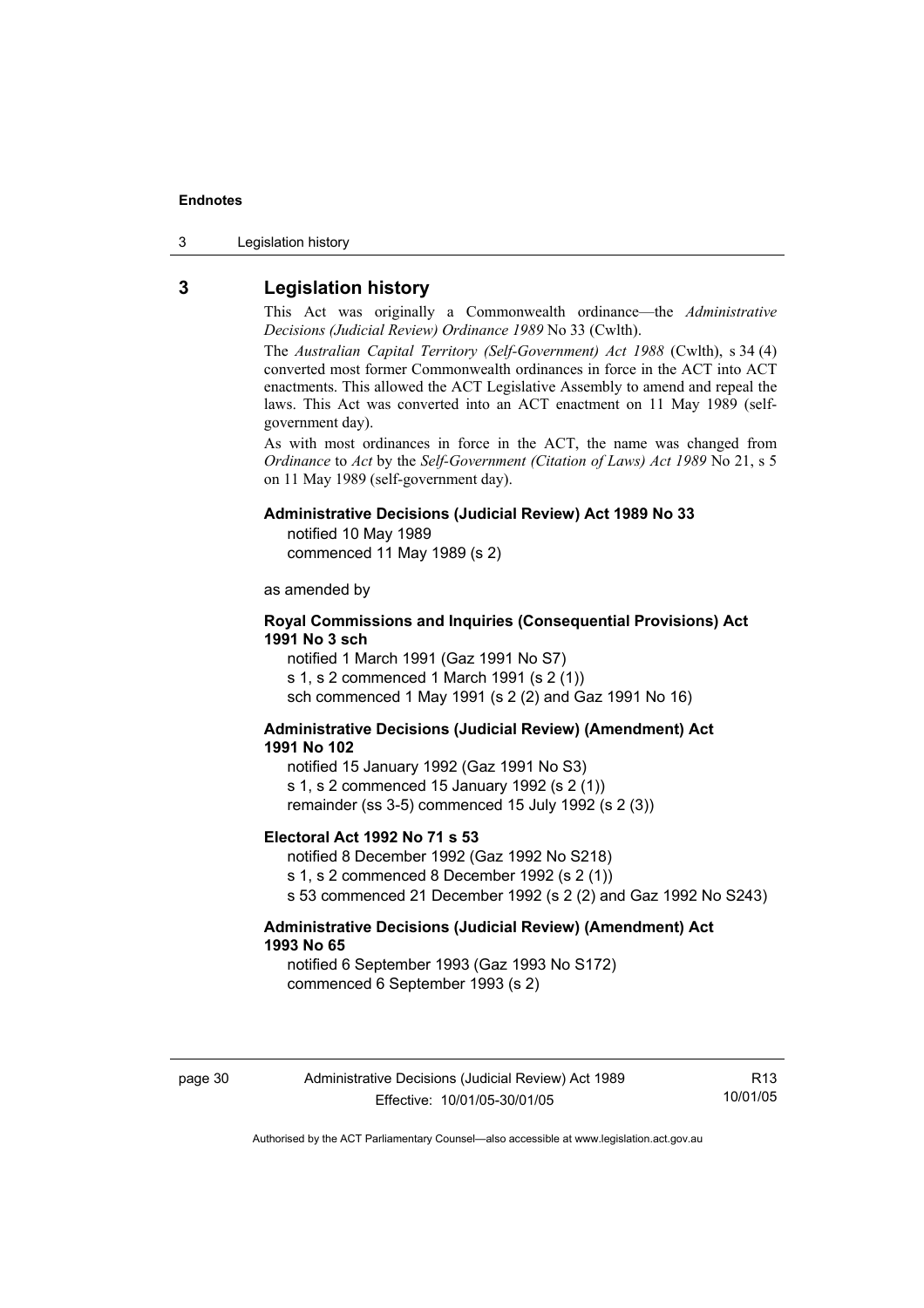3 Legislation history

### **3 Legislation history**

This Act was originally a Commonwealth ordinance—the *Administrative Decisions (Judicial Review) Ordinance 1989* No 33 (Cwlth).

The *Australian Capital Territory (Self-Government) Act 1988* (Cwlth), s 34 (4) converted most former Commonwealth ordinances in force in the ACT into ACT enactments. This allowed the ACT Legislative Assembly to amend and repeal the laws. This Act was converted into an ACT enactment on 11 May 1989 (selfgovernment day).

As with most ordinances in force in the ACT, the name was changed from *Ordinance* to *Act* by the *Self-Government (Citation of Laws) Act 1989* No 21, s 5 on 11 May 1989 (self-government day).

#### **Administrative Decisions (Judicial Review) Act 1989 No 33**

notified 10 May 1989

commenced 11 May 1989 (s 2)

as amended by

#### **Royal Commissions and Inquiries (Consequential Provisions) Act 1991 No 3 sch**

notified 1 March 1991 (Gaz 1991 No S7) s 1, s 2 commenced 1 March 1991 (s 2 (1)) sch commenced 1 May 1991 (s 2 (2) and Gaz 1991 No 16)

#### **Administrative Decisions (Judicial Review) (Amendment) Act 1991 No 102**

notified 15 January 1992 (Gaz 1991 No S3) s 1, s 2 commenced 15 January 1992 (s 2 (1)) remainder (ss 3-5) commenced 15 July 1992 (s 2 (3))

#### **Electoral Act 1992 No 71 s 53**

notified 8 December 1992 (Gaz 1992 No S218) s 1, s 2 commenced 8 December 1992 (s 2 (1)) s 53 commenced 21 December 1992 (s 2 (2) and Gaz 1992 No S243)

#### **Administrative Decisions (Judicial Review) (Amendment) Act 1993 No 65**

notified 6 September 1993 (Gaz 1993 No S172) commenced 6 September 1993 (s 2)

R13 10/01/05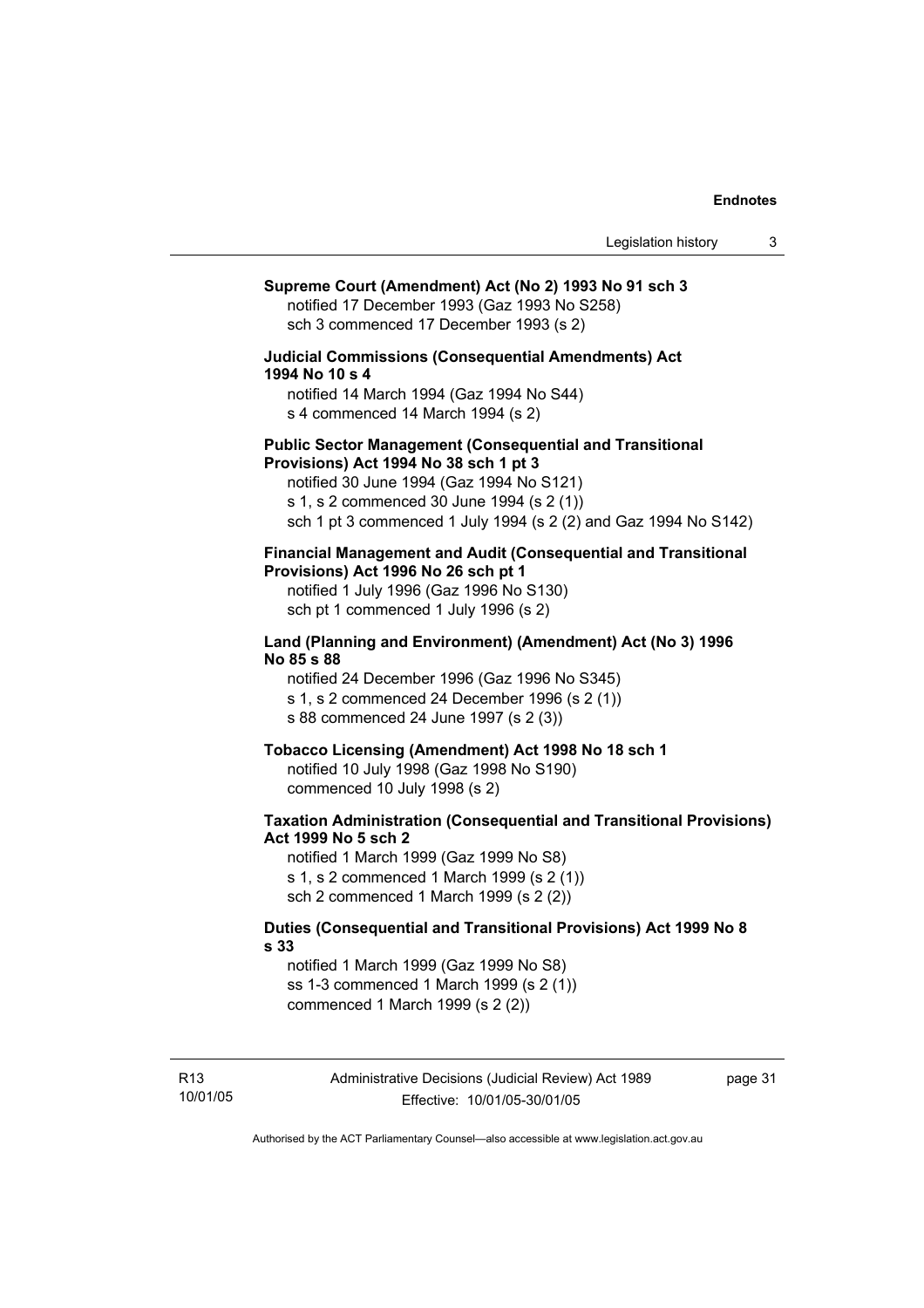### **Supreme Court (Amendment) Act (No 2) 1993 No 91 sch 3**  notified 17 December 1993 (Gaz 1993 No S258) sch 3 commenced 17 December 1993 (s 2) **Judicial Commissions (Consequential Amendments) Act 1994 No 10 s 4**  notified 14 March 1994 (Gaz 1994 No S44) s 4 commenced 14 March 1994 (s 2) **Public Sector Management (Consequential and Transitional Provisions) Act 1994 No 38 sch 1 pt 3**  notified 30 June 1994 (Gaz 1994 No S121) s 1, s 2 commenced 30 June 1994 (s 2 (1)) sch 1 pt 3 commenced 1 July 1994 (s 2 (2) and Gaz 1994 No S142) **Financial Management and Audit (Consequential and Transitional Provisions) Act 1996 No 26 sch pt 1**  notified 1 July 1996 (Gaz 1996 No S130) sch pt 1 commenced 1 July 1996 (s 2) **Land (Planning and Environment) (Amendment) Act (No 3) 1996 No 85 s 88**  notified 24 December 1996 (Gaz 1996 No S345) s 1, s 2 commenced 24 December 1996 (s 2 (1)) s 88 commenced 24 June 1997 (s 2 (3)) **Tobacco Licensing (Amendment) Act 1998 No 18 sch 1**  notified 10 July 1998 (Gaz 1998 No S190) commenced 10 July 1998 (s 2) **Taxation Administration (Consequential and Transitional Provisions) Act 1999 No 5 sch 2**  notified 1 March 1999 (Gaz 1999 No S8) s 1, s 2 commenced 1 March 1999 (s 2 (1)) sch 2 commenced 1 March 1999 (s 2 (2)) **Duties (Consequential and Transitional Provisions) Act 1999 No 8 s 33**  notified 1 March 1999 (Gaz 1999 No S8) ss 1-3 commenced 1 March 1999 (s 2 (1)) commenced 1 March 1999 (s 2 (2))

page 31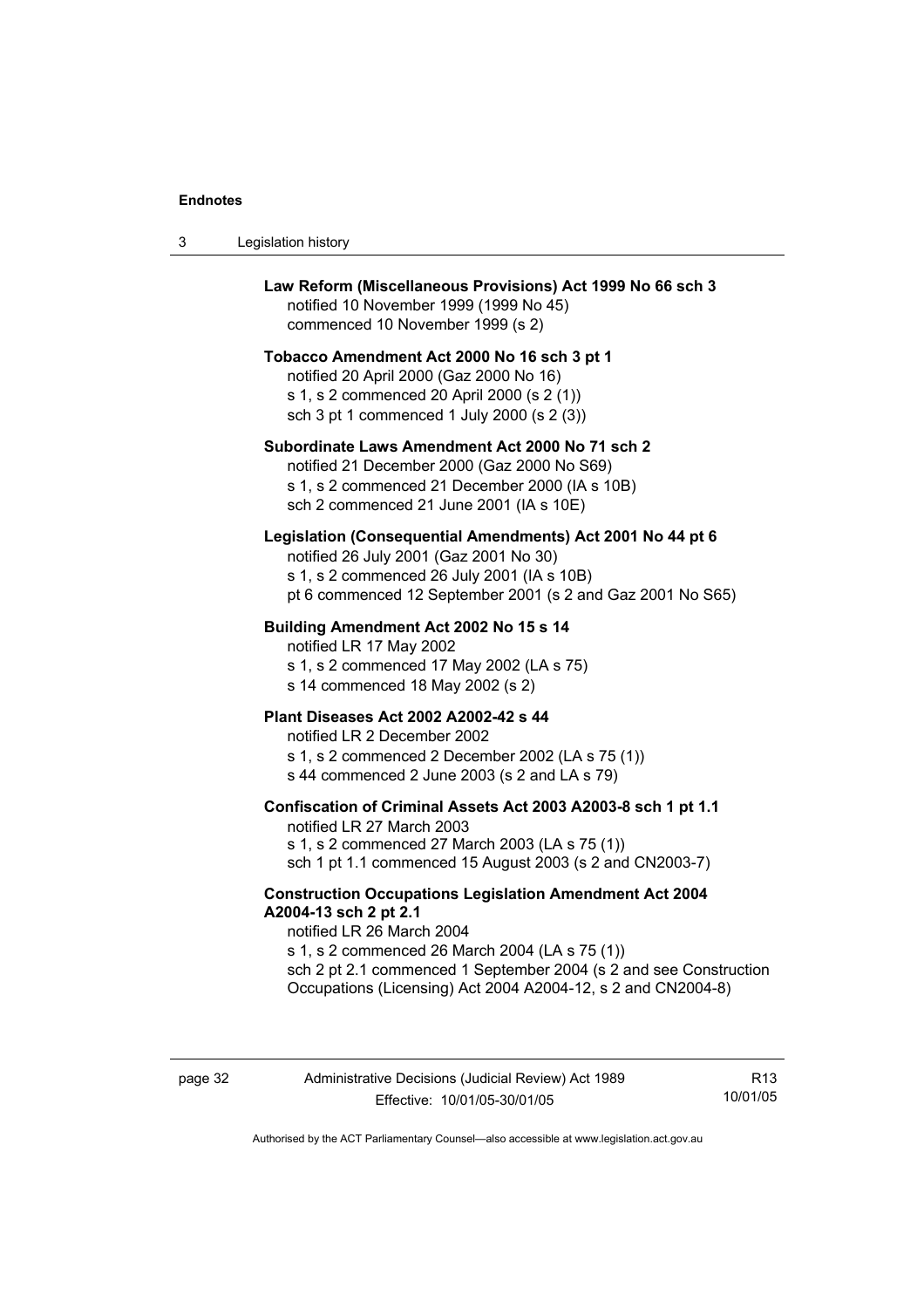| 3 | Legislation history                                                                                                                                                                                                                                                                                         |
|---|-------------------------------------------------------------------------------------------------------------------------------------------------------------------------------------------------------------------------------------------------------------------------------------------------------------|
|   | Law Reform (Miscellaneous Provisions) Act 1999 No 66 sch 3<br>notified 10 November 1999 (1999 No 45)<br>commenced 10 November 1999 (s 2)                                                                                                                                                                    |
|   | Tobacco Amendment Act 2000 No 16 sch 3 pt 1<br>notified 20 April 2000 (Gaz 2000 No 16)<br>s 1, s 2 commenced 20 April 2000 (s 2 (1))<br>sch 3 pt 1 commenced 1 July 2000 (s 2 (3))                                                                                                                          |
|   | Subordinate Laws Amendment Act 2000 No 71 sch 2<br>notified 21 December 2000 (Gaz 2000 No S69)<br>s 1, s 2 commenced 21 December 2000 (IA s 10B)<br>sch 2 commenced 21 June 2001 (IA s 10E)                                                                                                                 |
|   | Legislation (Consequential Amendments) Act 2001 No 44 pt 6<br>notified 26 July 2001 (Gaz 2001 No 30)<br>s 1, s 2 commenced 26 July 2001 (IA s 10B)<br>pt 6 commenced 12 September 2001 (s 2 and Gaz 2001 No S65)                                                                                            |
|   | Building Amendment Act 2002 No 15 s 14<br>notified LR 17 May 2002<br>s 1, s 2 commenced 17 May 2002 (LA s 75)<br>s 14 commenced 18 May 2002 (s 2)                                                                                                                                                           |
|   | Plant Diseases Act 2002 A2002-42 s 44<br>notified LR 2 December 2002<br>s 1, s 2 commenced 2 December 2002 (LA s 75 (1))<br>s 44 commenced 2 June 2003 (s 2 and LA s 79)                                                                                                                                    |
|   | Confiscation of Criminal Assets Act 2003 A2003-8 sch 1 pt 1.1<br>notified LR 27 March 2003<br>s 1, s 2 commenced 27 March 2003 (LA s 75 (1))<br>sch 1 pt 1.1 commenced 15 August 2003 (s 2 and CN2003-7)                                                                                                    |
|   | <b>Construction Occupations Legislation Amendment Act 2004</b><br>A2004-13 sch 2 pt 2.1<br>notified LR 26 March 2004<br>s 1, s 2 commenced 26 March 2004 (LA s 75 (1))<br>sch 2 pt 2.1 commenced 1 September 2004 (s 2 and see Construction<br>Occupations (Licensing) Act 2004 A2004-12, s 2 and CN2004-8) |

R13 10/01/05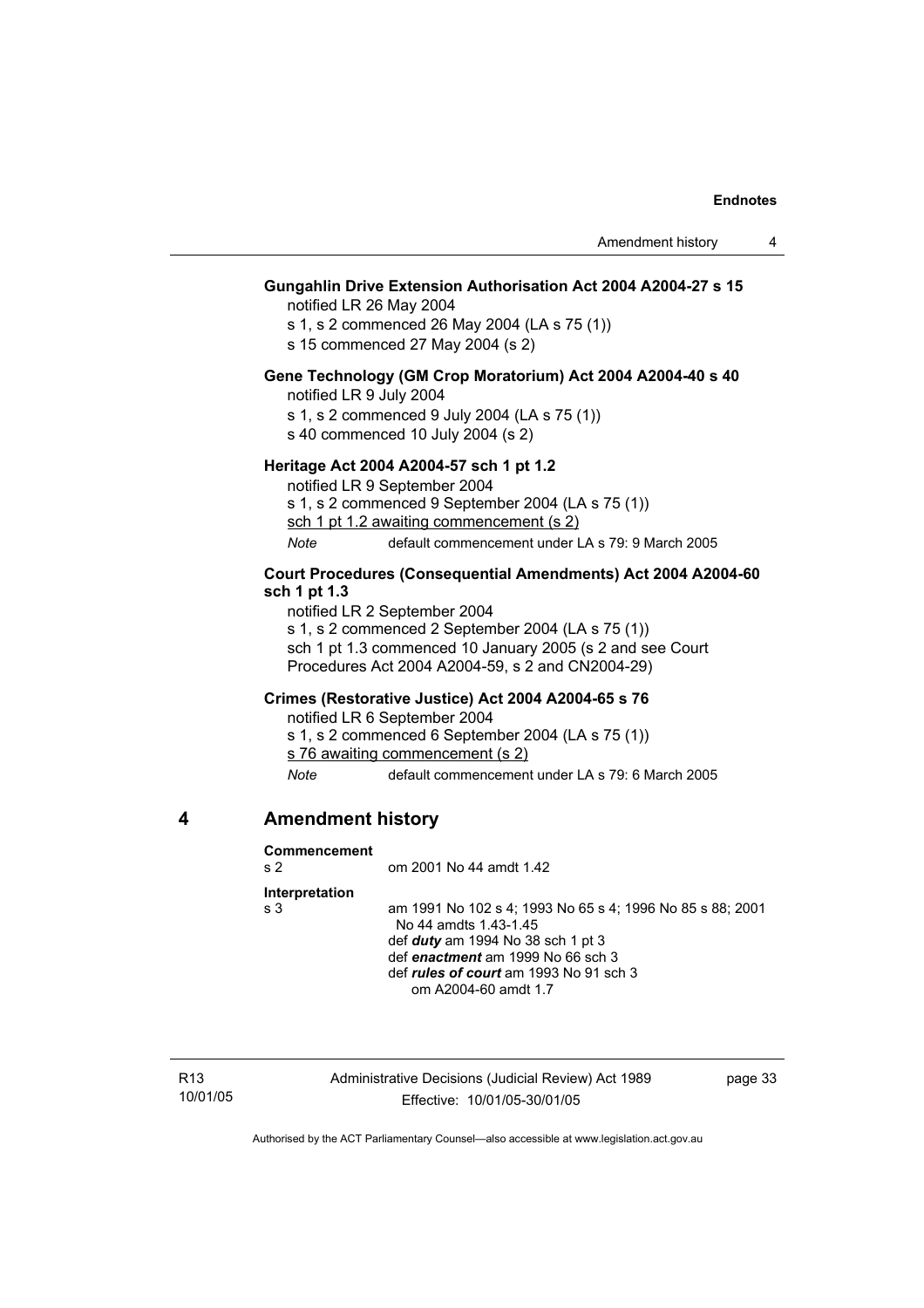#### **Gungahlin Drive Extension Authorisation Act 2004 A2004-27 s 15**

notified LR 26 May 2004

s 1, s 2 commenced 26 May 2004 (LA s 75 (1))

s 15 commenced 27 May 2004 (s 2)

#### **Gene Technology (GM Crop Moratorium) Act 2004 A2004-40 s 40**

notified LR 9 July 2004

s 1, s 2 commenced 9 July 2004 (LA s 75 (1))

s 40 commenced 10 July 2004 (s 2)

#### **Heritage Act 2004 A2004-57 sch 1 pt 1.2**

notified LR 9 September 2004

s 1, s 2 commenced 9 September 2004 (LA s 75 (1))

sch 1 pt 1.2 awaiting commencement (s 2)

*Note* default commencement under LA s 79: 9 March 2005

#### **Court Procedures (Consequential Amendments) Act 2004 A2004-60 sch 1 pt 1.3**

notified LR 2 September 2004 s 1, s 2 commenced 2 September 2004 (LA s 75 (1)) sch 1 pt 1.3 commenced 10 January 2005 (s 2 and see Court Procedures Act 2004 A2004-59, s 2 and CN2004-29)

#### **Crimes (Restorative Justice) Act 2004 A2004-65 s 76**

notified LR 6 September 2004 s 1, s 2 commenced 6 September 2004 (LA s 75 (1)) s 76 awaiting commencement (s 2) *Note* default commencement under LA s 79: 6 March 2005

#### **4 Amendment history**

#### **Commencement**

s 2 om 2001 No 44 amdt 1.42

#### **Interpretation**

s 3 am 1991 No 102 s 4; 1993 No 65 s 4; 1996 No 85 s 88; 2001 No 44 amdts 1.43-1.45 def *duty* am 1994 No 38 sch 1 pt 3 def *enactment* am 1999 No 66 sch 3 def *rules of court* am 1993 No 91 sch 3 om A2004-60 amdt 1.7

R13 10/01/05 Administrative Decisions (Judicial Review) Act 1989 Effective: 10/01/05-30/01/05

page 33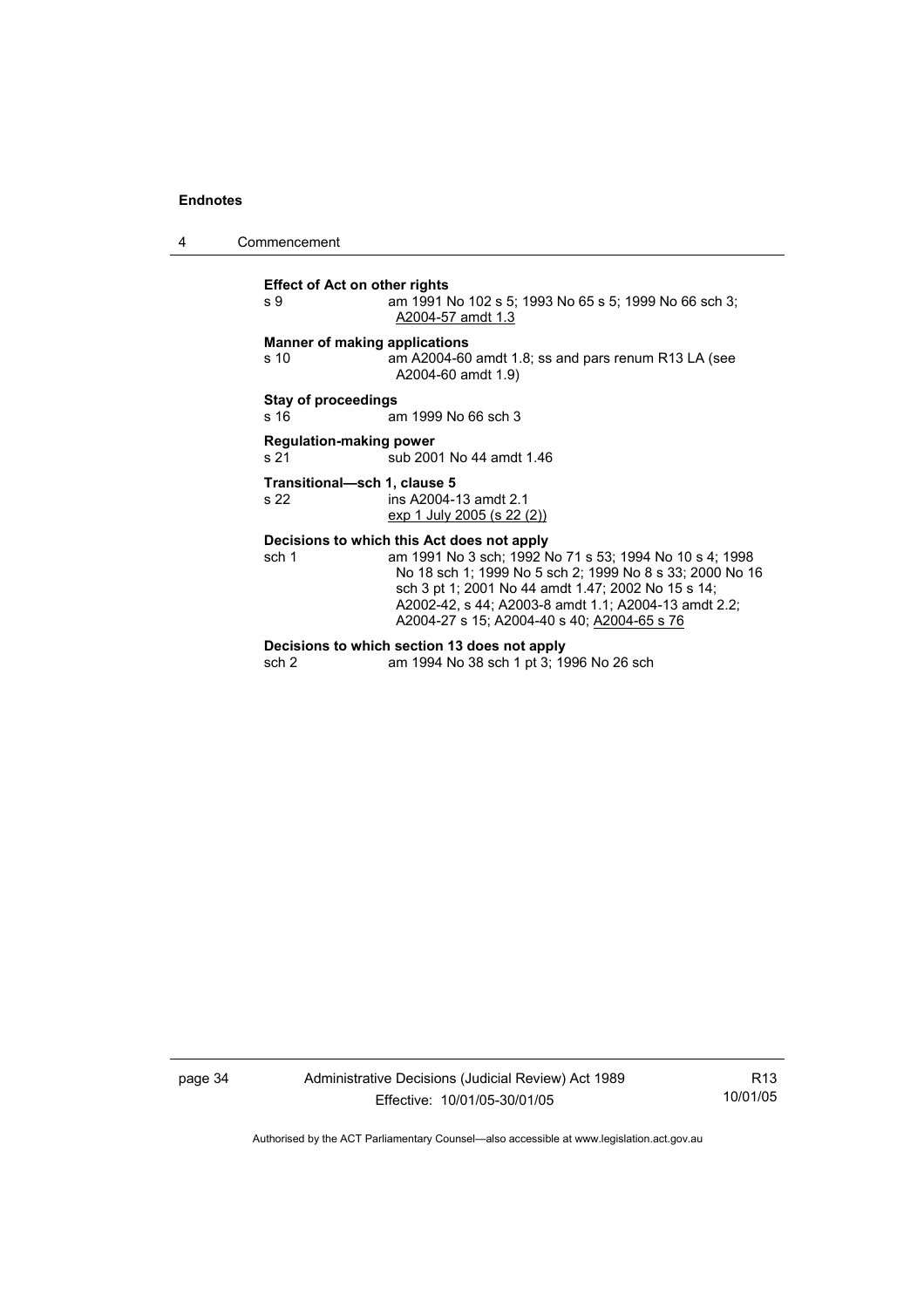4 Commencement

**Effect of Act on other rights**  s 9 am 1991 No 102 s 5; 1993 No 65 s 5; 1999 No 66 sch 3; A2004-57 amdt 1.3 **Manner of making applications**  s 10 am A2004-60 amdt 1.8; ss and pars renum R13 LA (see A2004-60 amdt 1.9) **Stay of proceedings**  s 16 **am 1999** No 66 sch 3 **Regulation-making power**  s 21 sub 2001 No 44 amdt 1.46 **Transitional—sch 1, clause 5**  ins A2004-13 amdt 2.1 exp 1 July 2005 (s 22 (2)) **Decisions to which this Act does not apply**  sch 1 am 1991 No 3 sch; 1992 No 71 s 53; 1994 No 10 s 4; 1998 No 18 sch 1; 1999 No 5 sch 2; 1999 No 8 s 33; 2000 No 16 sch 3 pt 1; 2001 No 44 amdt 1.47; 2002 No 15 s 14; A2002-42, s 44; A2003-8 amdt 1.1; A2004-13 amdt 2.2; A2004-27 s 15; A2004-40 s 40; A2004-65 s 76

#### **Decisions to which section 13 does not apply**

sch 2 am 1994 No 38 sch 1 pt 3; 1996 No 26 sch

page 34 Administrative Decisions (Judicial Review) Act 1989 Effective: 10/01/05-30/01/05

R13 10/01/05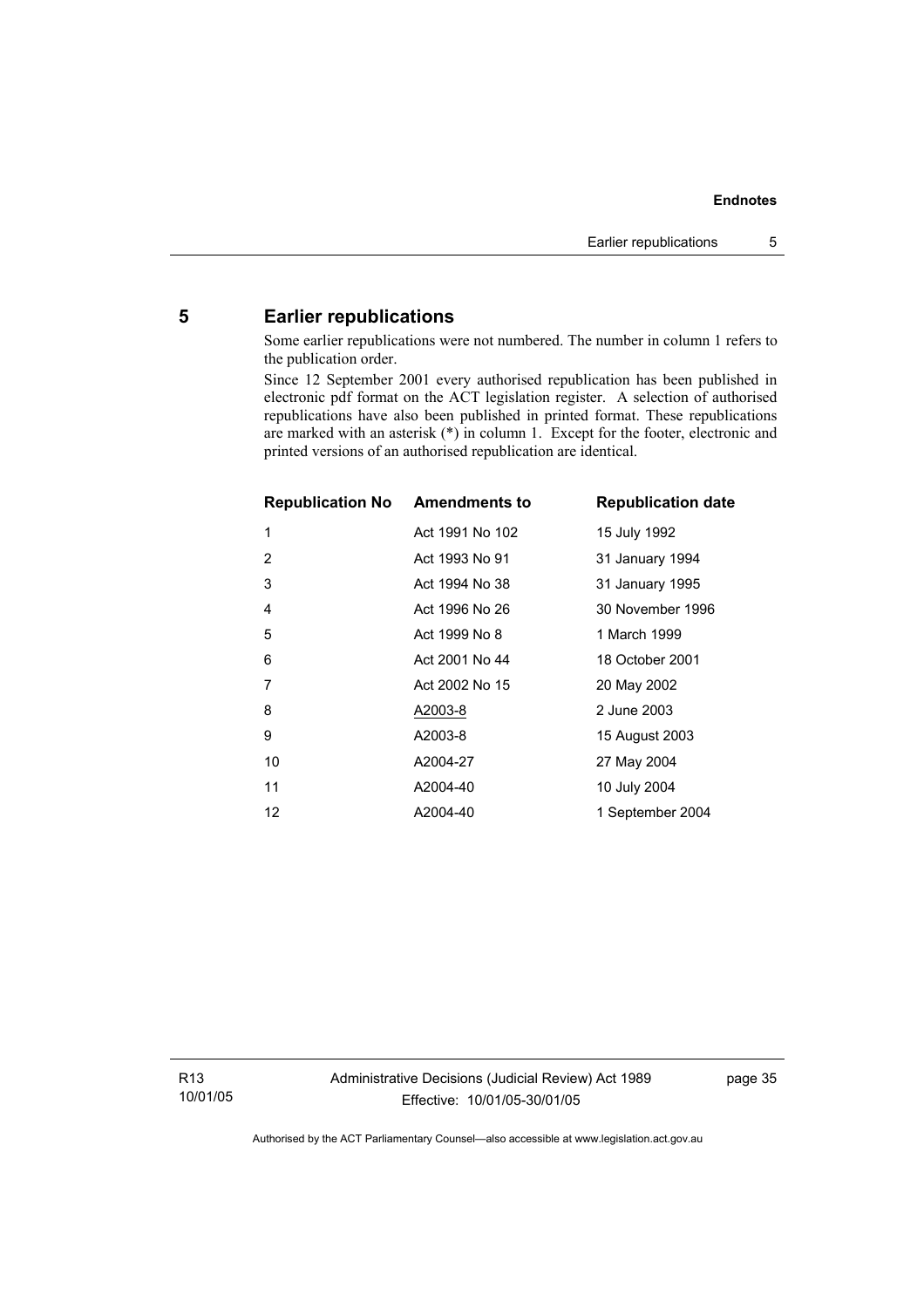### **5 Earlier republications**

Some earlier republications were not numbered. The number in column 1 refers to the publication order.

Since 12 September 2001 every authorised republication has been published in electronic pdf format on the ACT legislation register. A selection of authorised republications have also been published in printed format. These republications are marked with an asterisk (\*) in column 1. Except for the footer, electronic and printed versions of an authorised republication are identical.

| <b>Republication No Amendments to</b> |                 | <b>Republication date</b> |
|---------------------------------------|-----------------|---------------------------|
| 1                                     | Act 1991 No 102 | 15 July 1992              |
| 2                                     | Act 1993 No 91  | 31 January 1994           |
| 3                                     | Act 1994 No 38  | 31 January 1995           |
| 4                                     | Act 1996 No 26  | 30 November 1996          |
| 5                                     | Act 1999 No 8   | 1 March 1999              |
| 6                                     | Act 2001 No 44  | 18 October 2001           |
| 7                                     | Act 2002 No 15  | 20 May 2002               |
| 8                                     | A2003-8         | 2 June 2003               |
| 9                                     | A2003-8         | 15 August 2003            |
| 10                                    | A2004-27        | 27 May 2004               |
| 11                                    | A2004-40        | 10 July 2004              |
| 12                                    | A2004-40        | 1 September 2004          |

R13 10/01/05